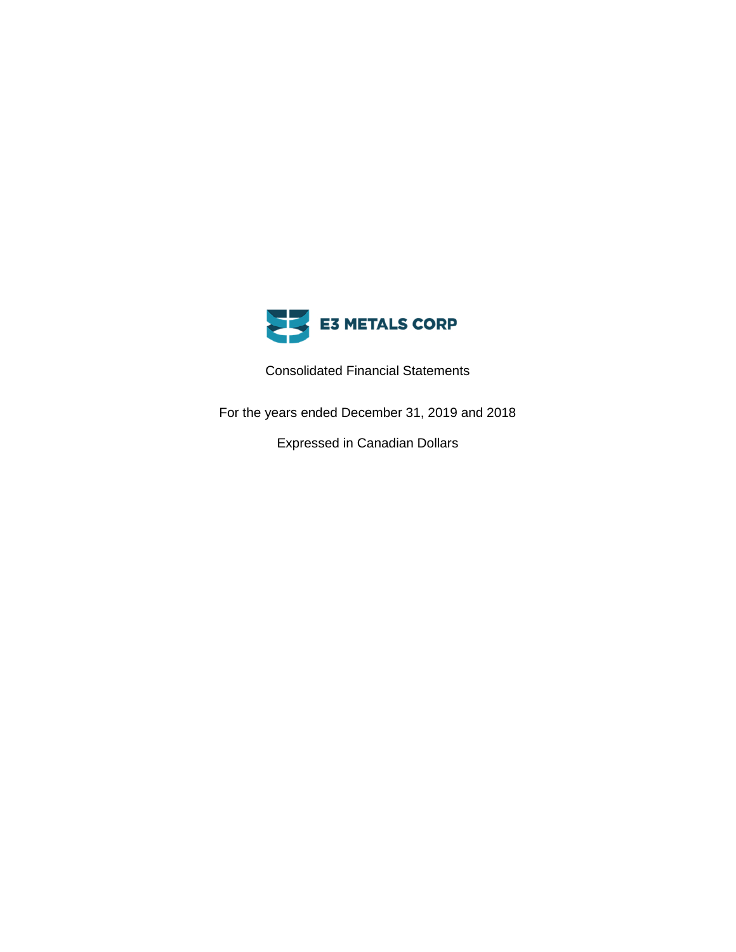

Consolidated Financial Statements

For the years ended December 31, 2019 and 2018

Expressed in Canadian Dollars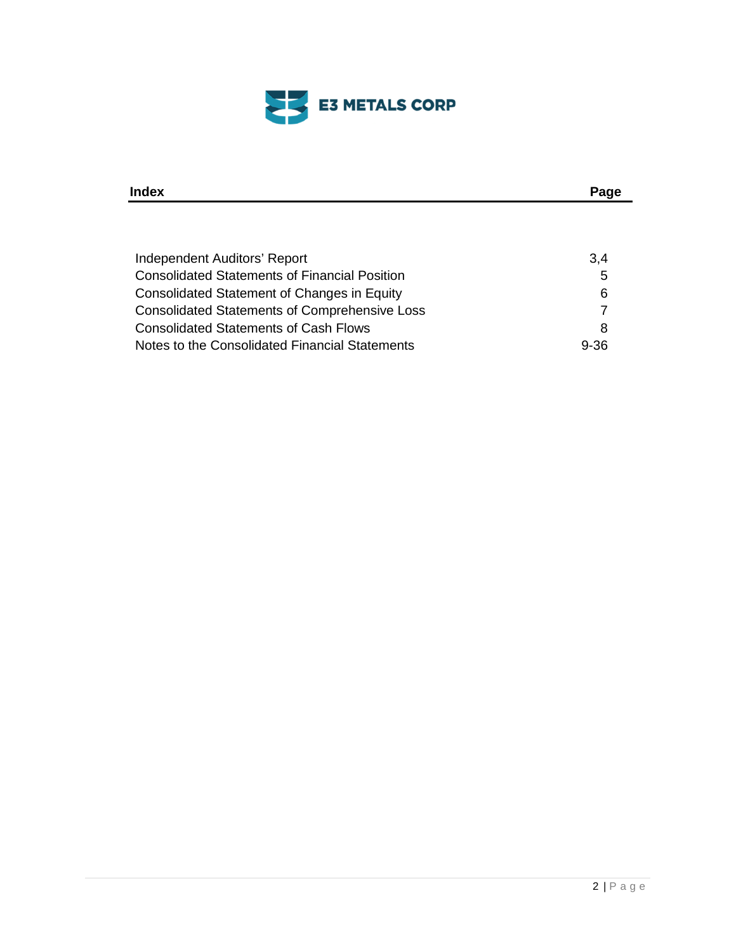

| Index                                                | Page |
|------------------------------------------------------|------|
|                                                      |      |
|                                                      |      |
| Independent Auditors' Report                         | 3,4  |
| <b>Consolidated Statements of Financial Position</b> | 5    |
| Consolidated Statement of Changes in Equity          | 6    |
| <b>Consolidated Statements of Comprehensive Loss</b> | 7    |
| <b>Consolidated Statements of Cash Flows</b>         | 8    |
| Notes to the Consolidated Financial Statements       | 9-36 |
|                                                      |      |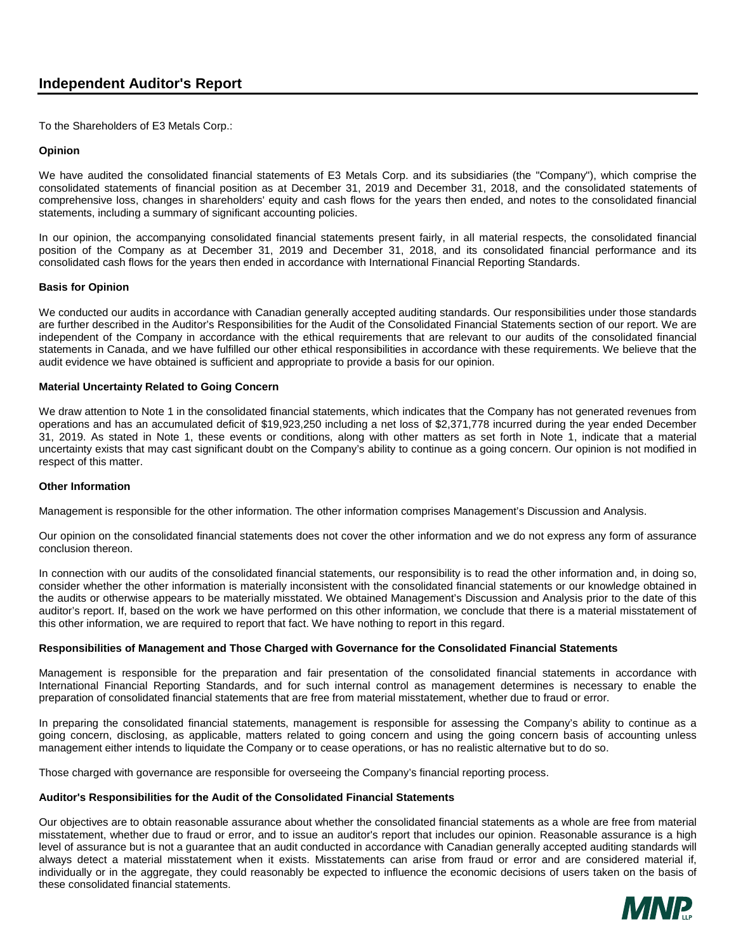# **Independent Auditor's Report**

To the Shareholders of E3 Metals Corp.:

#### **Opinion**

We have audited the consolidated financial statements of E3 Metals Corp. and its subsidiaries (the "Company"), which comprise the consolidated statements of financial position as at December 31, 2019 and December 31, 2018, and the consolidated statements of comprehensive loss, changes in shareholders' equity and cash flows for the years then ended, and notes to the consolidated financial statements, including a summary of significant accounting policies.

In our opinion, the accompanying consolidated financial statements present fairly, in all material respects, the consolidated financial position of the Company as at December 31, 2019 and December 31, 2018, and its consolidated financial performance and its consolidated cash flows for the years then ended in accordance with International Financial Reporting Standards.

#### **Basis for Opinion**

We conducted our audits in accordance with Canadian generally accepted auditing standards. Our responsibilities under those standards are further described in the Auditor's Responsibilities for the Audit of the Consolidated Financial Statements section of our report. We are independent of the Company in accordance with the ethical requirements that are relevant to our audits of the consolidated financial statements in Canada, and we have fulfilled our other ethical responsibilities in accordance with these requirements. We believe that the audit evidence we have obtained is sufficient and appropriate to provide a basis for our opinion.

#### **Material Uncertainty Related to Going Concern**

We draw attention to Note 1 in the consolidated financial statements, which indicates that the Company has not generated revenues from operations and has an accumulated deficit of \$19,923,250 including a net loss of \$2,371,778 incurred during the year ended December 31, 2019. As stated in Note 1, these events or conditions, along with other matters as set forth in Note 1, indicate that a material uncertainty exists that may cast significant doubt on the Company's ability to continue as a going concern. Our opinion is not modified in respect of this matter.

#### **Other Information**

Management is responsible for the other information. The other information comprises Management's Discussion and Analysis.

Our opinion on the consolidated financial statements does not cover the other information and we do not express any form of assurance conclusion thereon.

In connection with our audits of the consolidated financial statements, our responsibility is to read the other information and, in doing so, consider whether the other information is materially inconsistent with the consolidated financial statements or our knowledge obtained in the audits or otherwise appears to be materially misstated. We obtained Management's Discussion and Analysis prior to the date of this auditor's report. If, based on the work we have performed on this other information, we conclude that there is a material misstatement of this other information, we are required to report that fact. We have nothing to report in this regard.

#### **Responsibilities of Management and Those Charged with Governance for the Consolidated Financial Statements**

Management is responsible for the preparation and fair presentation of the consolidated financial statements in accordance with International Financial Reporting Standards, and for such internal control as management determines is necessary to enable the preparation of consolidated financial statements that are free from material misstatement, whether due to fraud or error.

In preparing the consolidated financial statements, management is responsible for assessing the Company's ability to continue as a going concern, disclosing, as applicable, matters related to going concern and using the going concern basis of accounting unless management either intends to liquidate the Company or to cease operations, or has no realistic alternative but to do so.

Those charged with governance are responsible for overseeing the Company's financial reporting process.

#### **Auditor's Responsibilities for the Audit of the Consolidated Financial Statements**

Our objectives are to obtain reasonable assurance about whether the consolidated financial statements as a whole are free from material misstatement, whether due to fraud or error, and to issue an auditor's report that includes our opinion. Reasonable assurance is a high level of assurance but is not a guarantee that an audit conducted in accordance with Canadian generally accepted auditing standards will always detect a material misstatement when it exists. Misstatements can arise from fraud or error and are considered material if, individually or in the aggregate, they could reasonably be expected to influence the economic decisions of users taken on the basis of these consolidated financial statements.

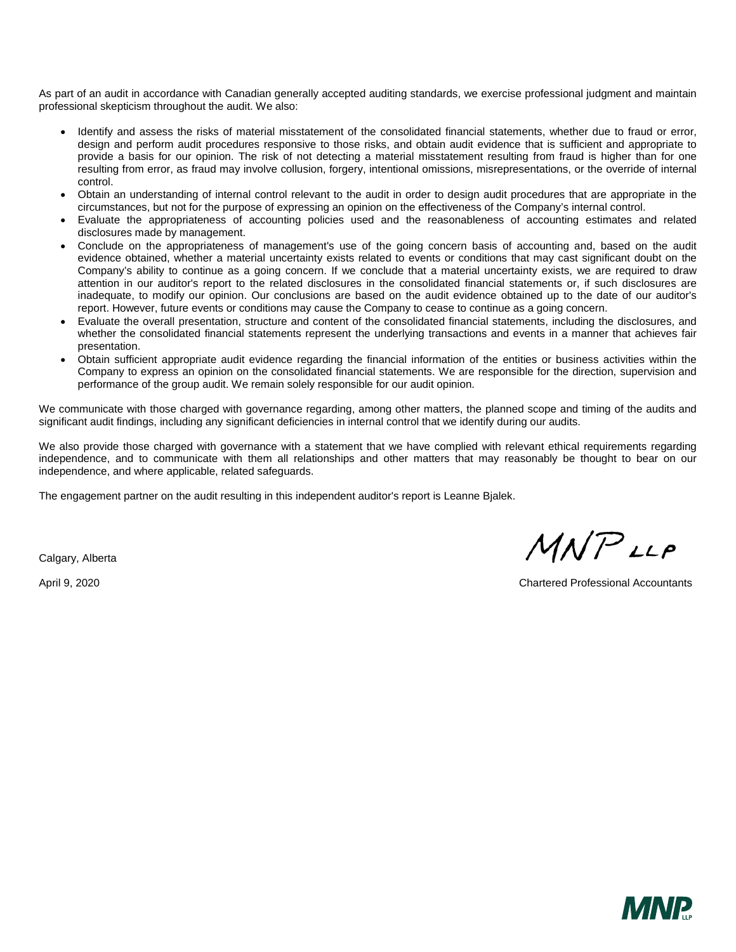As part of an audit in accordance with Canadian generally accepted auditing standards, we exercise professional judgment and maintain professional skepticism throughout the audit. We also:

- Identify and assess the risks of material misstatement of the consolidated financial statements, whether due to fraud or error, design and perform audit procedures responsive to those risks, and obtain audit evidence that is sufficient and appropriate to provide a basis for our opinion. The risk of not detecting a material misstatement resulting from fraud is higher than for one resulting from error, as fraud may involve collusion, forgery, intentional omissions, misrepresentations, or the override of internal control.
- Obtain an understanding of internal control relevant to the audit in order to design audit procedures that are appropriate in the circumstances, but not for the purpose of expressing an opinion on the effectiveness of the Company's internal control.
- Evaluate the appropriateness of accounting policies used and the reasonableness of accounting estimates and related disclosures made by management.
- Conclude on the appropriateness of management's use of the going concern basis of accounting and, based on the audit evidence obtained, whether a material uncertainty exists related to events or conditions that may cast significant doubt on the Company's ability to continue as a going concern. If we conclude that a material uncertainty exists, we are required to draw attention in our auditor's report to the related disclosures in the consolidated financial statements or, if such disclosures are inadequate, to modify our opinion. Our conclusions are based on the audit evidence obtained up to the date of our auditor's report. However, future events or conditions may cause the Company to cease to continue as a going concern.
- Evaluate the overall presentation, structure and content of the consolidated financial statements, including the disclosures, and whether the consolidated financial statements represent the underlying transactions and events in a manner that achieves fair presentation.
- Obtain sufficient appropriate audit evidence regarding the financial information of the entities or business activities within the Company to express an opinion on the consolidated financial statements. We are responsible for the direction, supervision and performance of the group audit. We remain solely responsible for our audit opinion.

We communicate with those charged with governance regarding, among other matters, the planned scope and timing of the audits and significant audit findings, including any significant deficiencies in internal control that we identify during our audits.

We also provide those charged with governance with a statement that we have complied with relevant ethical requirements regarding independence, and to communicate with them all relationships and other matters that may reasonably be thought to bear on our independence, and where applicable, related safeguards.

The engagement partner on the audit resulting in this independent auditor's report is Leanne Bjalek.

Calgary, Alberta

 $MNPLLP$ 

April 9, 2020 Chartered Professional Accountants

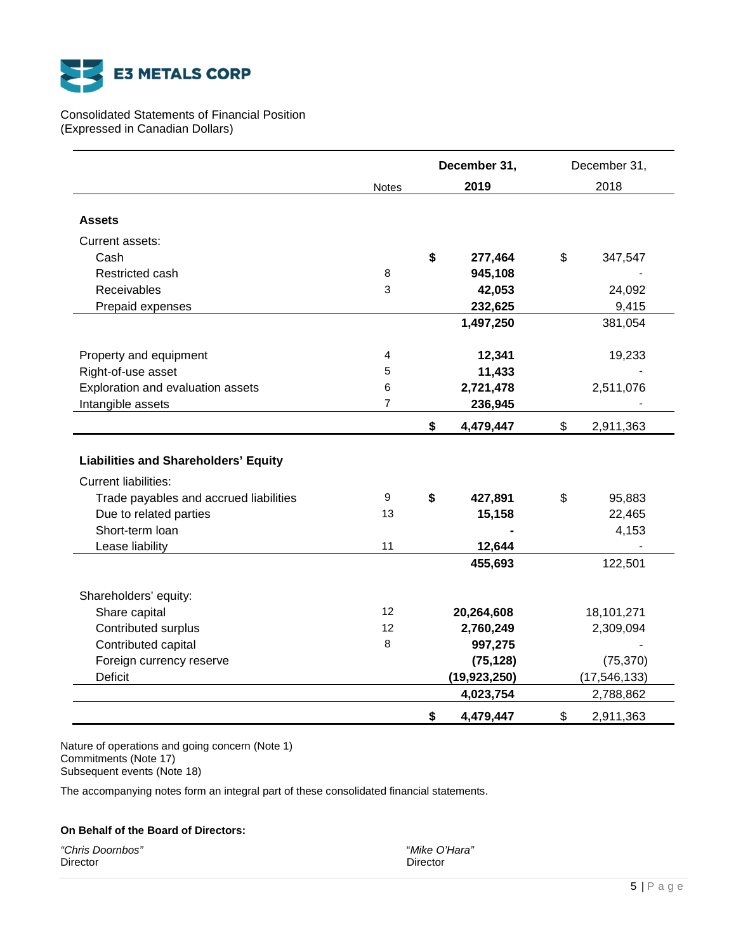

## Consolidated Statements of Financial Position (Expressed in Canadian Dollars)

|                                             |                | December 31,    |    | December 31,   |
|---------------------------------------------|----------------|-----------------|----|----------------|
|                                             | <b>Notes</b>   | 2019            |    | 2018           |
|                                             |                |                 |    |                |
| <b>Assets</b>                               |                |                 |    |                |
| Current assets:                             |                |                 |    |                |
| Cash                                        |                | \$<br>277,464   | \$ | 347,547        |
| Restricted cash                             | 8              | 945,108         |    |                |
| Receivables                                 | 3              | 42,053          |    | 24,092         |
| Prepaid expenses                            |                | 232,625         |    | 9,415          |
|                                             |                | 1,497,250       |    | 381,054        |
|                                             |                |                 |    |                |
| Property and equipment                      | 4              | 12,341          |    | 19,233         |
| Right-of-use asset                          | 5              | 11,433          |    |                |
| Exploration and evaluation assets           | 6              | 2,721,478       |    | 2,511,076      |
| Intangible assets                           | $\overline{7}$ | 236,945         |    |                |
|                                             |                | \$<br>4,479,447 | \$ | 2,911,363      |
|                                             |                |                 |    |                |
| <b>Liabilities and Shareholders' Equity</b> |                |                 |    |                |
| <b>Current liabilities:</b>                 |                |                 |    |                |
| Trade payables and accrued liabilities      | 9              | \$<br>427,891   | \$ | 95,883         |
| Due to related parties                      | 13             | 15,158          |    | 22,465         |
| Short-term loan                             |                |                 |    | 4,153          |
| Lease liability                             | 11             | 12,644          |    |                |
|                                             |                | 455,693         |    | 122,501        |
|                                             |                |                 |    |                |
| Shareholders' equity:                       |                |                 |    |                |
| Share capital                               | 12             | 20,264,608      |    | 18,101,271     |
| Contributed surplus                         | 12             | 2,760,249       |    | 2,309,094      |
| Contributed capital                         | 8              | 997,275         |    |                |
| Foreign currency reserve                    |                | (75, 128)       |    | (75, 370)      |
| Deficit                                     |                | (19, 923, 250)  |    | (17, 546, 133) |
|                                             |                | 4,023,754       |    | 2,788,862      |
|                                             |                | \$<br>4,479,447 | \$ | 2,911,363      |

Nature of operations and going concern (Note 1) Commitments (Note 17) Subsequent events (Note 18)

The accompanying notes form an integral part of these consolidated financial statements.

## **On Behalf of the Board of Directors:**

*"Chris Doornbos"* "*Mike O'Hara"* 

Director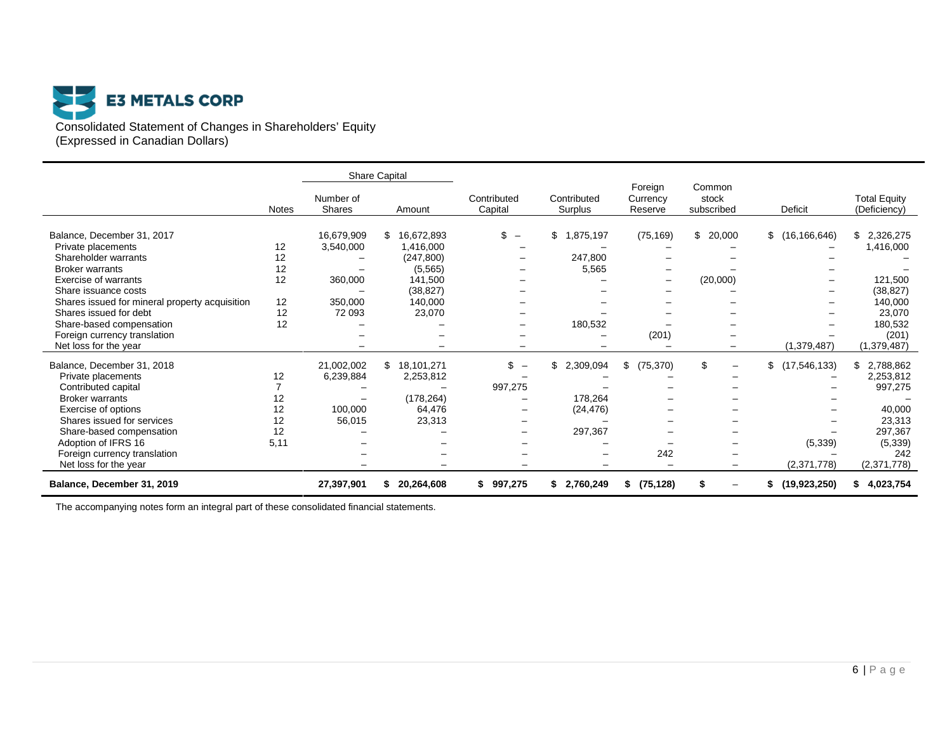

|                                                                                                                                                                                                                                                                                            |                                        |                                                         | Share Capital                                                                                        |                                           |                                                |                                |                               |                                                 |                                                                                                      |
|--------------------------------------------------------------------------------------------------------------------------------------------------------------------------------------------------------------------------------------------------------------------------------------------|----------------------------------------|---------------------------------------------------------|------------------------------------------------------------------------------------------------------|-------------------------------------------|------------------------------------------------|--------------------------------|-------------------------------|-------------------------------------------------|------------------------------------------------------------------------------------------------------|
|                                                                                                                                                                                                                                                                                            | <b>Notes</b>                           | Number of<br><b>Shares</b>                              | Amount                                                                                               | Contributed<br>Capital                    | Contributed<br>Surplus                         | Foreign<br>Currency<br>Reserve | Common<br>stock<br>subscribed | Deficit                                         | <b>Total Equity</b><br>(Deficiency)                                                                  |
| Balance, December 31, 2017<br>Private placements<br>Shareholder warrants<br><b>Broker warrants</b><br>Exercise of warrants<br>Share issuance costs<br>Shares issued for mineral property acquisition<br>Shares issued for debt<br>Share-based compensation<br>Foreign currency translation | 12<br>12<br>12<br>12<br>12<br>12<br>12 | 16,679,909<br>3,540,000<br>360,000<br>350,000<br>72 093 | 16,672,893<br>\$<br>1,416,000<br>(247, 800)<br>(5, 565)<br>141,500<br>(38, 827)<br>140,000<br>23,070 | \$<br>$-$                                 | \$1,875,197<br>247,800<br>5,565<br>180,532     | (75, 169)<br>(201)             | \$20,000<br>(20,000)          | \$(16, 166, 646)                                | 2,326,275<br>\$.<br>1,416,000<br>121,500<br>(38, 827)<br>140,000<br>23,070<br>180,532<br>(201)       |
| Net loss for the year                                                                                                                                                                                                                                                                      |                                        |                                                         |                                                                                                      |                                           |                                                |                                |                               | (1,379,487)                                     | (1,379,487)                                                                                          |
| Balance, December 31, 2018<br>Private placements<br>Contributed capital<br><b>Broker warrants</b><br>Exercise of options<br>Shares issued for services<br>Share-based compensation<br>Adoption of IFRS 16<br>Foreign currency translation<br>Net loss for the year                         | 12<br>12<br>12<br>12<br>12<br>5,11     | 21,002,002<br>6,239,884<br>100,000<br>56,015            | \$<br>18,101,271<br>2,253,812<br>(178, 264)<br>64,476<br>23,313                                      | \$<br>$\overline{\phantom{m}}$<br>997,275 | \$2,309,094<br>178,264<br>(24, 476)<br>297,367 | \$ (75,370)<br>242             | \$<br>-                       | \$<br>(17, 546, 133)<br>(5, 339)<br>(2,371,778) | \$2,788,862<br>2,253,812<br>997,275<br>40,000<br>23,313<br>297,367<br>(5, 339)<br>242<br>(2,371,778) |
| Balance, December 31, 2019                                                                                                                                                                                                                                                                 |                                        | 27,397,901                                              | 20,264,608<br>S.                                                                                     | 997,275<br>\$                             | \$2,760,249                                    | \$ (75, 128)                   | \$                            | (19, 923, 250)<br>\$                            | \$4,023,754                                                                                          |

The accompanying notes form an integral part of these consolidated financial statements.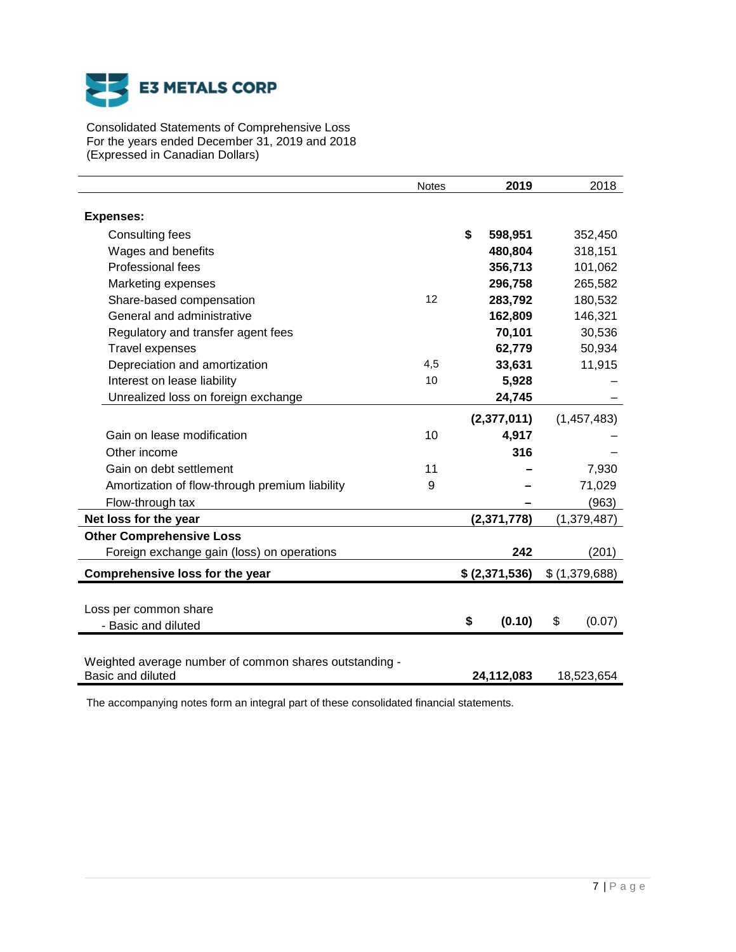

Consolidated Statements of Comprehensive Loss For the years ended December 31, 2019 and 2018 (Expressed in Canadian Dollars)

|                                                        | <b>Notes</b> | 2019           | 2018           |
|--------------------------------------------------------|--------------|----------------|----------------|
| <b>Expenses:</b>                                       |              |                |                |
| Consulting fees                                        |              | \$<br>598,951  | 352,450        |
| Wages and benefits                                     |              | 480,804        | 318,151        |
| <b>Professional fees</b>                               |              | 356,713        | 101,062        |
| Marketing expenses                                     |              | 296,758        | 265,582        |
| Share-based compensation                               | 12           | 283,792        | 180,532        |
| General and administrative                             |              | 162,809        | 146,321        |
| Regulatory and transfer agent fees                     |              | 70,101         | 30,536         |
| Travel expenses                                        |              | 62,779         | 50,934         |
| Depreciation and amortization                          | 4,5          | 33,631         | 11,915         |
| Interest on lease liability                            | 10           | 5,928          |                |
| Unrealized loss on foreign exchange                    |              | 24,745         |                |
|                                                        |              | (2,377,011)    | (1,457,483)    |
| Gain on lease modification                             | 10           | 4,917          |                |
| Other income                                           |              | 316            |                |
| Gain on debt settlement                                | 11           |                | 7,930          |
| Amortization of flow-through premium liability         | 9            |                | 71,029         |
| Flow-through tax                                       |              |                | (963)          |
| Net loss for the year                                  |              | (2, 371, 778)  | (1, 379, 487)  |
| <b>Other Comprehensive Loss</b>                        |              |                |                |
| Foreign exchange gain (loss) on operations             |              | 242            | (201)          |
| Comprehensive loss for the year                        |              | \$ (2,371,536) | \$ (1,379,688) |
|                                                        |              |                |                |
| Loss per common share                                  |              |                |                |
| - Basic and diluted                                    |              | \$<br>(0.10)   | \$<br>(0.07)   |
|                                                        |              |                |                |
| Weighted average number of common shares outstanding - |              |                |                |
| <b>Basic and diluted</b>                               |              | 24,112,083     | 18,523,654     |

The accompanying notes form an integral part of these consolidated financial statements.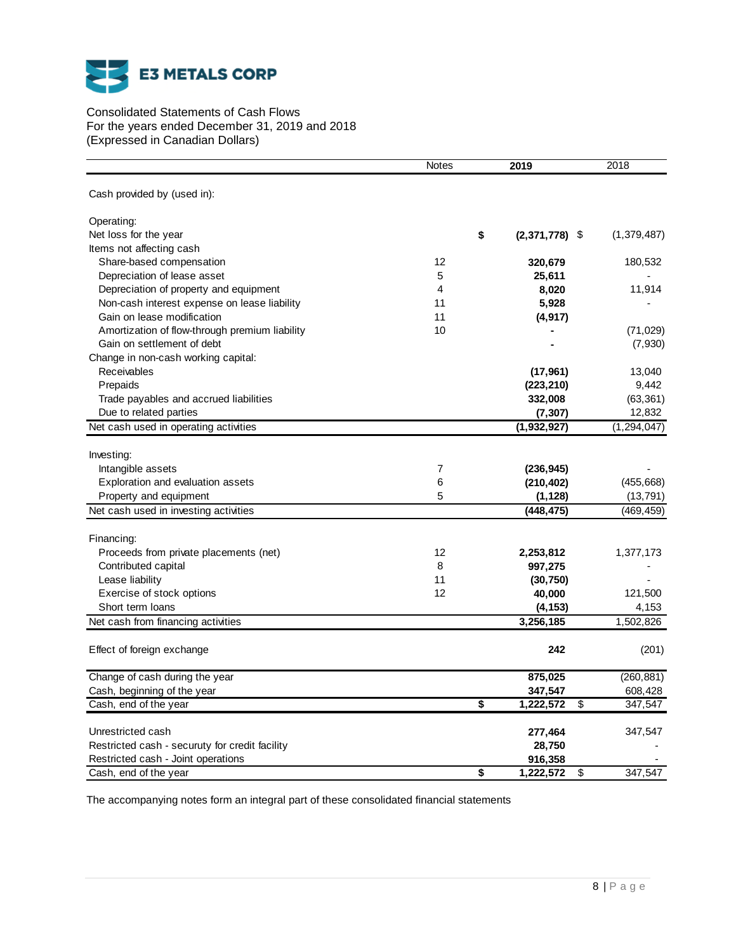

Consolidated Statements of Cash Flows For the years ended December 31, 2019 and 2018 (Expressed in Canadian Dollars)

|                                                | <b>Notes</b>   | 2019                   | 2018          |
|------------------------------------------------|----------------|------------------------|---------------|
| Cash provided by (used in):                    |                |                        |               |
| Operating:                                     |                |                        |               |
| Net loss for the year                          |                | \$<br>$(2,371,778)$ \$ | (1,379,487)   |
| Items not affecting cash                       |                |                        |               |
| Share-based compensation                       | 12             | 320,679                | 180,532       |
| Depreciation of lease asset                    | 5              | 25,611                 |               |
| Depreciation of property and equipment         | $\overline{4}$ | 8,020                  | 11,914        |
| Non-cash interest expense on lease liability   | 11             | 5,928                  |               |
| Gain on lease modification                     | 11             | (4, 917)               |               |
| Amortization of flow-through premium liability | 10             |                        | (71, 029)     |
| Gain on settlement of debt                     |                |                        | (7,930)       |
| Change in non-cash working capital:            |                |                        |               |
| Receivables                                    |                | (17, 961)              | 13,040        |
| Prepaids                                       |                | (223, 210)             | 9,442         |
| Trade payables and accrued liabilities         |                | 332,008                | (63, 361)     |
| Due to related parties                         |                | (7, 307)               | 12,832        |
| Net cash used in operating activities          |                | (1,932,927)            | (1, 294, 047) |
|                                                |                |                        |               |
| Investing:                                     |                |                        |               |
| Intangible assets                              | 7              | (236, 945)             |               |
| Exploration and evaluation assets              | 6              | (210, 402)             | (455, 668)    |
| Property and equipment                         | 5              | (1, 128)               | (13, 791)     |
| Net cash used in investing activities          |                | (448, 475)             | (469, 459)    |
| Financing:                                     |                |                        |               |
| Proceeds from private placements (net)         | 12             | 2,253,812              | 1,377,173     |
| Contributed capital                            | 8              | 997,275                |               |
| Lease liability                                | 11             | (30, 750)              |               |
| Exercise of stock options                      | 12             | 40,000                 | 121,500       |
| Short term loans                               |                | (4, 153)               | 4,153         |
| Net cash from financing activities             |                | 3,256,185              | 1,502,826     |
|                                                |                |                        |               |
| Effect of foreign exchange                     |                | 242                    | (201)         |
| Change of cash during the year                 |                | 875,025                | (260, 881)    |
| Cash, beginning of the year                    |                | 347,547                | 608,428       |
| Cash, end of the year                          |                | \$<br>1,222,572        | 347,547<br>\$ |
|                                                |                |                        |               |
| Unrestricted cash                              |                | 277,464                | 347,547       |
| Restricted cash - securuty for credit facility |                | 28,750                 |               |
| Restricted cash - Joint operations             |                | 916,358                |               |
| Cash, end of the year                          |                | \$<br>1,222,572        | 347,547<br>\$ |

The accompanying notes form an integral part of these consolidated financial statements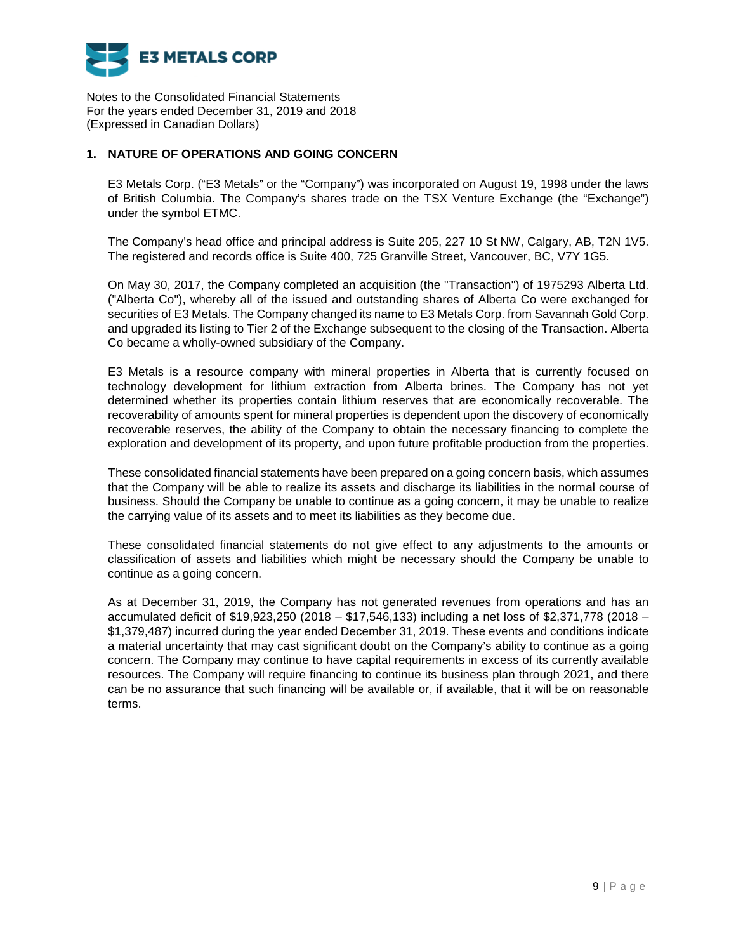

## **1. NATURE OF OPERATIONS AND GOING CONCERN**

E3 Metals Corp. ("E3 Metals" or the "Company") was incorporated on August 19, 1998 under the laws of British Columbia. The Company's shares trade on the TSX Venture Exchange (the "Exchange") under the symbol ETMC.

The Company's head office and principal address is Suite 205, 227 10 St NW, Calgary, AB, T2N 1V5. The registered and records office is Suite 400, 725 Granville Street, Vancouver, BC, V7Y 1G5.

On May 30, 2017, the Company completed an acquisition (the "Transaction") of 1975293 Alberta Ltd. ("Alberta Co"), whereby all of the issued and outstanding shares of Alberta Co were exchanged for securities of E3 Metals. The Company changed its name to E3 Metals Corp. from Savannah Gold Corp. and upgraded its listing to Tier 2 of the Exchange subsequent to the closing of the Transaction. Alberta Co became a wholly-owned subsidiary of the Company.

E3 Metals is a resource company with mineral properties in Alberta that is currently focused on technology development for lithium extraction from Alberta brines. The Company has not yet determined whether its properties contain lithium reserves that are economically recoverable. The recoverability of amounts spent for mineral properties is dependent upon the discovery of economically recoverable reserves, the ability of the Company to obtain the necessary financing to complete the exploration and development of its property, and upon future profitable production from the properties.

These consolidated financial statements have been prepared on a going concern basis, which assumes that the Company will be able to realize its assets and discharge its liabilities in the normal course of business. Should the Company be unable to continue as a going concern, it may be unable to realize the carrying value of its assets and to meet its liabilities as they become due.

These consolidated financial statements do not give effect to any adjustments to the amounts or classification of assets and liabilities which might be necessary should the Company be unable to continue as a going concern.

As at December 31, 2019, the Company has not generated revenues from operations and has an accumulated deficit of \$19,923,250 (2018 – \$17,546,133) including a net loss of \$2,371,778 (2018 – \$1,379,487) incurred during the year ended December 31, 2019. These events and conditions indicate a material uncertainty that may cast significant doubt on the Company's ability to continue as a going concern. The Company may continue to have capital requirements in excess of its currently available resources. The Company will require financing to continue its business plan through 2021, and there can be no assurance that such financing will be available or, if available, that it will be on reasonable terms.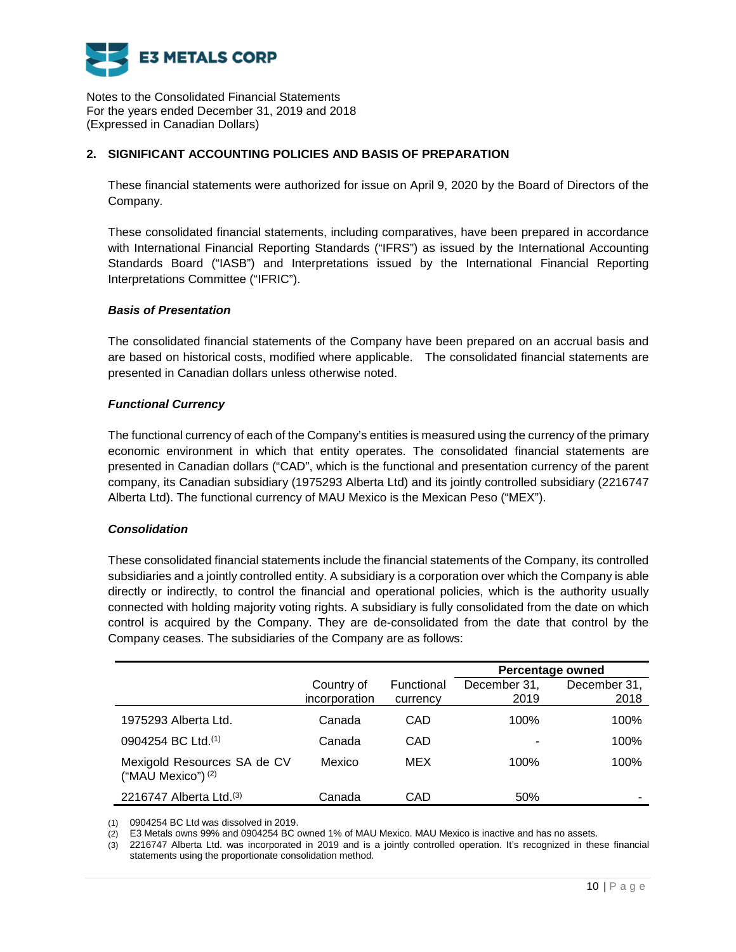

## **2. SIGNIFICANT ACCOUNTING POLICIES AND BASIS OF PREPARATION**

These financial statements were authorized for issue on April 9, 2020 by the Board of Directors of the Company.

These consolidated financial statements, including comparatives, have been prepared in accordance with International Financial Reporting Standards ("IFRS") as issued by the International Accounting Standards Board ("IASB") and Interpretations issued by the International Financial Reporting Interpretations Committee ("IFRIC").

### *Basis of Presentation*

The consolidated financial statements of the Company have been prepared on an accrual basis and are based on historical costs, modified where applicable. The consolidated financial statements are presented in Canadian dollars unless otherwise noted.

## *Functional Currency*

The functional currency of each of the Company's entities is measured using the currency of the primary economic environment in which that entity operates. The consolidated financial statements are presented in Canadian dollars ("CAD", which is the functional and presentation currency of the parent company, its Canadian subsidiary (1975293 Alberta Ltd) and its jointly controlled subsidiary (2216747 Alberta Ltd). The functional currency of MAU Mexico is the Mexican Peso ("MEX").

### *Consolidation*

These consolidated financial statements include the financial statements of the Company, its controlled subsidiaries and a jointly controlled entity. A subsidiary is a corporation over which the Company is able directly or indirectly, to control the financial and operational policies, which is the authority usually connected with holding majority voting rights. A subsidiary is fully consolidated from the date on which control is acquired by the Company. They are de-consolidated from the date that control by the Company ceases. The subsidiaries of the Company are as follows:

|                                                   |                             |                        | <b>Percentage owned</b> |                      |
|---------------------------------------------------|-----------------------------|------------------------|-------------------------|----------------------|
|                                                   | Country of<br>incorporation | Functional<br>currency | December 31,<br>2019    | December 31,<br>2018 |
| 1975293 Alberta Ltd.                              | Canada                      | CAD                    | 100%                    | 100%                 |
| 0904254 BC Ltd. <sup>(1)</sup>                    | Canada                      | CAD                    |                         | 100%                 |
| Mexigold Resources SA de CV<br>("MAU Mexico") (2) | Mexico                      | MEX                    | 100%                    | 100%                 |
| 2216747 Alberta Ltd.(3)                           | Canada                      | CAD                    | 50%                     |                      |

(1) 0904254 BC Ltd was dissolved in 2019.

(2) E3 Metals owns 99% and 0904254 BC owned 1% of MAU Mexico. MAU Mexico is inactive and has no assets.

(3) 2216747 Alberta Ltd. was incorporated in 2019 and is a jointly controlled operation. It's recognized in these financial statements using the proportionate consolidation method.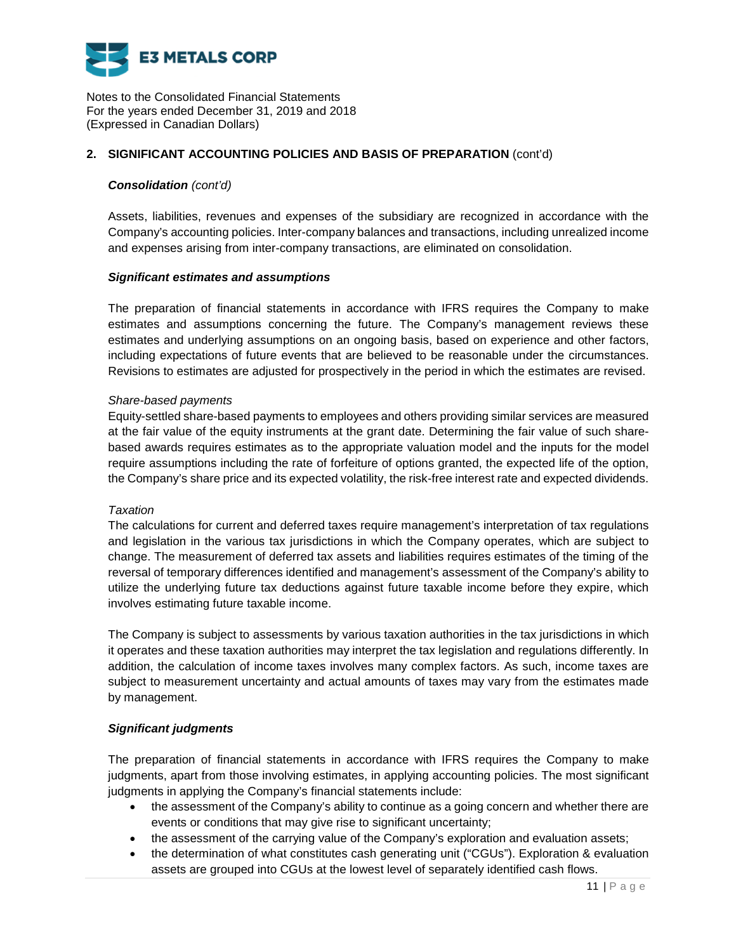

## **2. SIGNIFICANT ACCOUNTING POLICIES AND BASIS OF PREPARATION** (cont'd)

### *Consolidation (cont'd)*

Assets, liabilities, revenues and expenses of the subsidiary are recognized in accordance with the Company's accounting policies. Inter-company balances and transactions, including unrealized income and expenses arising from inter-company transactions, are eliminated on consolidation.

### *Significant estimates and assumptions*

The preparation of financial statements in accordance with IFRS requires the Company to make estimates and assumptions concerning the future. The Company's management reviews these estimates and underlying assumptions on an ongoing basis, based on experience and other factors, including expectations of future events that are believed to be reasonable under the circumstances. Revisions to estimates are adjusted for prospectively in the period in which the estimates are revised.

#### *Share-based payments*

Equity-settled share-based payments to employees and others providing similar services are measured at the fair value of the equity instruments at the grant date. Determining the fair value of such sharebased awards requires estimates as to the appropriate valuation model and the inputs for the model require assumptions including the rate of forfeiture of options granted, the expected life of the option, the Company's share price and its expected volatility, the risk-free interest rate and expected dividends.

#### *Taxation*

The calculations for current and deferred taxes require management's interpretation of tax regulations and legislation in the various tax jurisdictions in which the Company operates, which are subject to change. The measurement of deferred tax assets and liabilities requires estimates of the timing of the reversal of temporary differences identified and management's assessment of the Company's ability to utilize the underlying future tax deductions against future taxable income before they expire, which involves estimating future taxable income.

The Company is subject to assessments by various taxation authorities in the tax jurisdictions in which it operates and these taxation authorities may interpret the tax legislation and regulations differently. In addition, the calculation of income taxes involves many complex factors. As such, income taxes are subject to measurement uncertainty and actual amounts of taxes may vary from the estimates made by management.

### *Significant judgments*

The preparation of financial statements in accordance with IFRS requires the Company to make judgments, apart from those involving estimates, in applying accounting policies. The most significant judgments in applying the Company's financial statements include:

- the assessment of the Company's ability to continue as a going concern and whether there are events or conditions that may give rise to significant uncertainty;
- the assessment of the carrying value of the Company's exploration and evaluation assets;
- the determination of what constitutes cash generating unit ("CGUs"). Exploration & evaluation assets are grouped into CGUs at the lowest level of separately identified cash flows.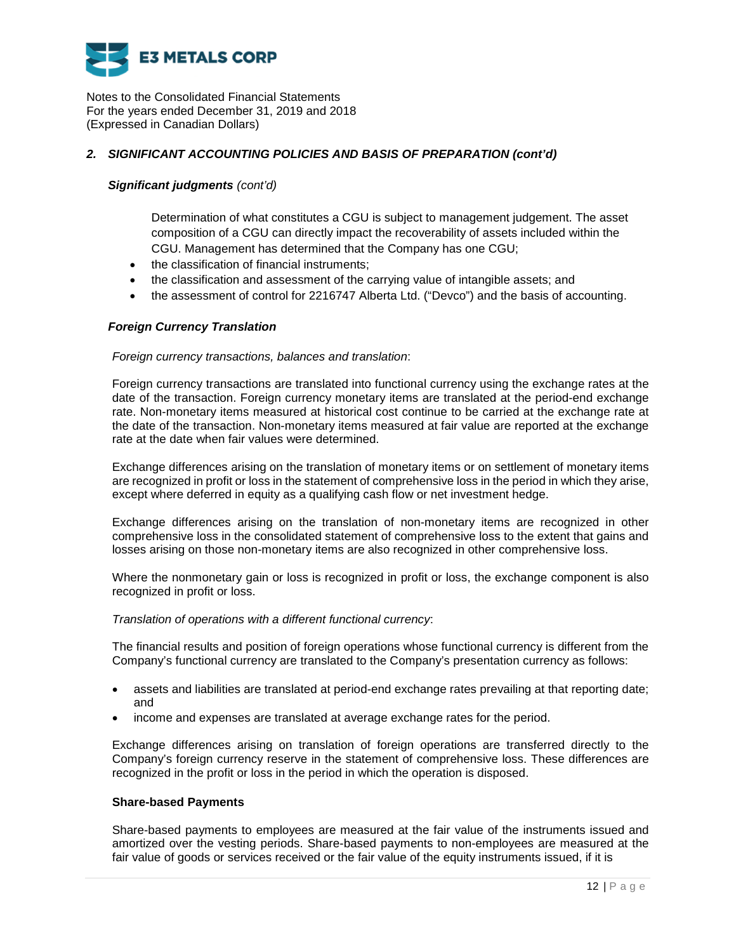

## *2. SIGNIFICANT ACCOUNTING POLICIES AND BASIS OF PREPARATION (cont'd)*

### *Significant judgments (cont'd)*

Determination of what constitutes a CGU is subject to management judgement. The asset composition of a CGU can directly impact the recoverability of assets included within the CGU. Management has determined that the Company has one CGU;

- the classification of financial instruments;
- the classification and assessment of the carrying value of intangible assets; and
- the assessment of control for 2216747 Alberta Ltd. ("Devco") and the basis of accounting.

### *Foreign Currency Translation*

#### *Foreign currency transactions, balances and translation*:

Foreign currency transactions are translated into functional currency using the exchange rates at the date of the transaction. Foreign currency monetary items are translated at the period-end exchange rate. Non-monetary items measured at historical cost continue to be carried at the exchange rate at the date of the transaction. Non-monetary items measured at fair value are reported at the exchange rate at the date when fair values were determined.

Exchange differences arising on the translation of monetary items or on settlement of monetary items are recognized in profit or loss in the statement of comprehensive loss in the period in which they arise, except where deferred in equity as a qualifying cash flow or net investment hedge.

Exchange differences arising on the translation of non-monetary items are recognized in other comprehensive loss in the consolidated statement of comprehensive loss to the extent that gains and losses arising on those non-monetary items are also recognized in other comprehensive loss.

Where the nonmonetary gain or loss is recognized in profit or loss, the exchange component is also recognized in profit or loss.

#### *Translation of operations with a different functional currency*:

The financial results and position of foreign operations whose functional currency is different from the Company's functional currency are translated to the Company's presentation currency as follows:

- assets and liabilities are translated at period-end exchange rates prevailing at that reporting date; and
- income and expenses are translated at average exchange rates for the period.

Exchange differences arising on translation of foreign operations are transferred directly to the Company's foreign currency reserve in the statement of comprehensive loss. These differences are recognized in the profit or loss in the period in which the operation is disposed.

#### **Share-based Payments**

Share-based payments to employees are measured at the fair value of the instruments issued and amortized over the vesting periods. Share-based payments to non-employees are measured at the fair value of goods or services received or the fair value of the equity instruments issued, if it is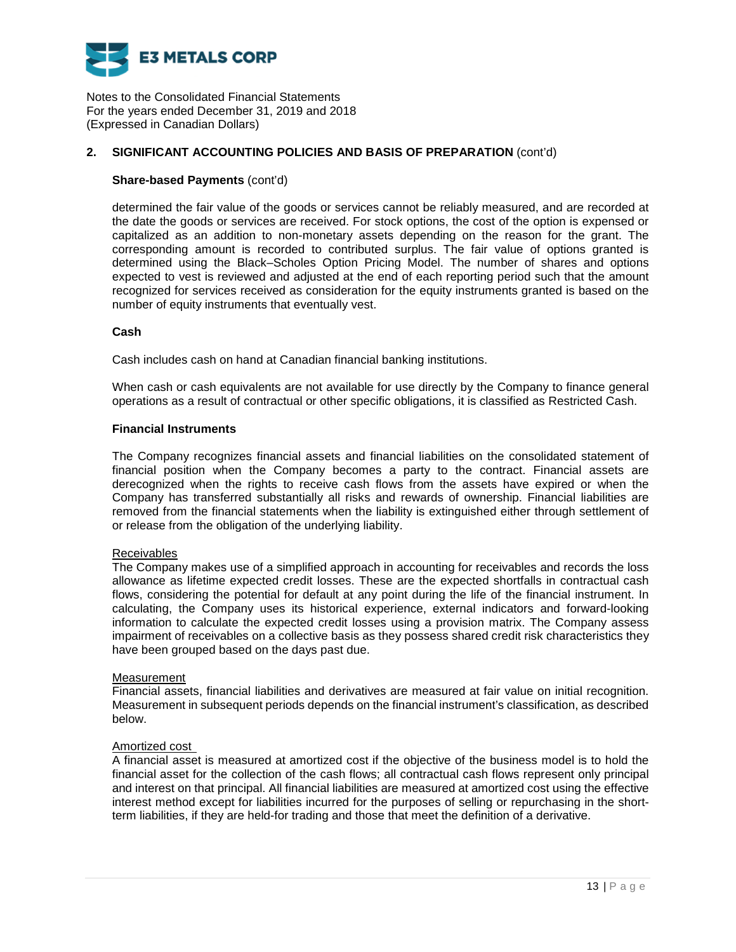

### **2. SIGNIFICANT ACCOUNTING POLICIES AND BASIS OF PREPARATION** (cont'd)

### **Share-based Payments** (cont'd)

determined the fair value of the goods or services cannot be reliably measured, and are recorded at the date the goods or services are received. For stock options, the cost of the option is expensed or capitalized as an addition to non-monetary assets depending on the reason for the grant. The corresponding amount is recorded to contributed surplus. The fair value of options granted is determined using the Black–Scholes Option Pricing Model. The number of shares and options expected to vest is reviewed and adjusted at the end of each reporting period such that the amount recognized for services received as consideration for the equity instruments granted is based on the number of equity instruments that eventually vest.

#### **Cash**

Cash includes cash on hand at Canadian financial banking institutions.

When cash or cash equivalents are not available for use directly by the Company to finance general operations as a result of contractual or other specific obligations, it is classified as Restricted Cash.

#### **Financial Instruments**

The Company recognizes financial assets and financial liabilities on the consolidated statement of financial position when the Company becomes a party to the contract. Financial assets are derecognized when the rights to receive cash flows from the assets have expired or when the Company has transferred substantially all risks and rewards of ownership. Financial liabilities are removed from the financial statements when the liability is extinguished either through settlement of or release from the obligation of the underlying liability.

#### Receivables

The Company makes use of a simplified approach in accounting for receivables and records the loss allowance as lifetime expected credit losses. These are the expected shortfalls in contractual cash flows, considering the potential for default at any point during the life of the financial instrument. In calculating, the Company uses its historical experience, external indicators and forward-looking information to calculate the expected credit losses using a provision matrix. The Company assess impairment of receivables on a collective basis as they possess shared credit risk characteristics they have been grouped based on the days past due.

#### Measurement

Financial assets, financial liabilities and derivatives are measured at fair value on initial recognition. Measurement in subsequent periods depends on the financial instrument's classification, as described below.

#### Amortized cost

A financial asset is measured at amortized cost if the objective of the business model is to hold the financial asset for the collection of the cash flows; all contractual cash flows represent only principal and interest on that principal. All financial liabilities are measured at amortized cost using the effective interest method except for liabilities incurred for the purposes of selling or repurchasing in the shortterm liabilities, if they are held-for trading and those that meet the definition of a derivative.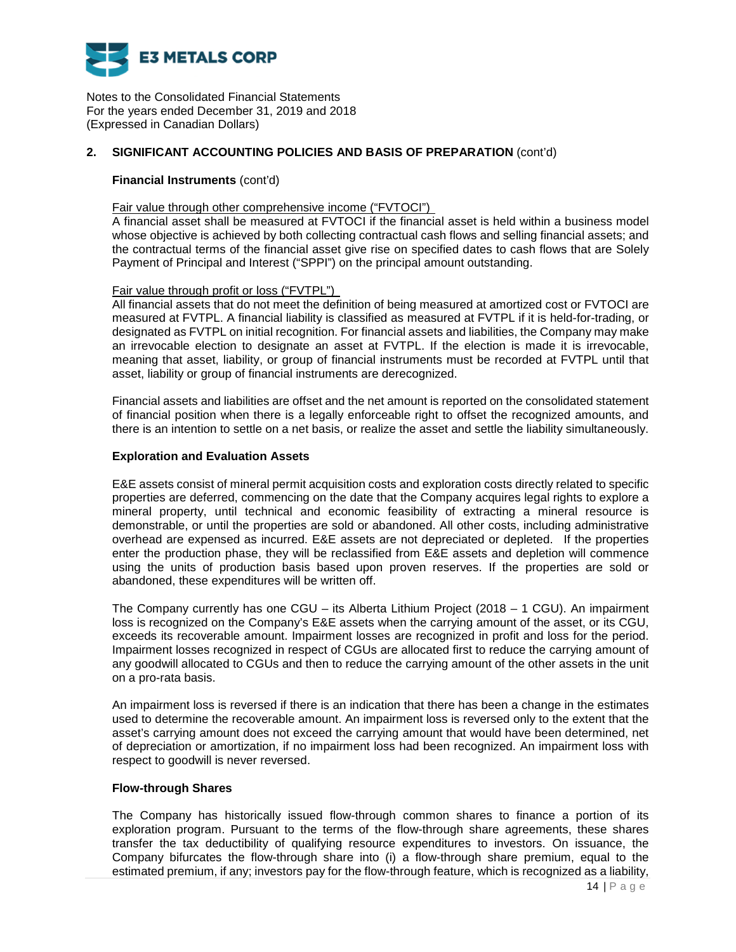

## **2. SIGNIFICANT ACCOUNTING POLICIES AND BASIS OF PREPARATION** (cont'd)

### **Financial Instruments** (cont'd)

Fair value through other comprehensive income ("FVTOCI")

A financial asset shall be measured at FVTOCI if the financial asset is held within a business model whose objective is achieved by both collecting contractual cash flows and selling financial assets; and the contractual terms of the financial asset give rise on specified dates to cash flows that are Solely Payment of Principal and Interest ("SPPI") on the principal amount outstanding.

### Fair value through profit or loss ("FVTPL")

All financial assets that do not meet the definition of being measured at amortized cost or FVTOCI are measured at FVTPL. A financial liability is classified as measured at FVTPL if it is held-for-trading, or designated as FVTPL on initial recognition. For financial assets and liabilities, the Company may make an irrevocable election to designate an asset at FVTPL. If the election is made it is irrevocable, meaning that asset, liability, or group of financial instruments must be recorded at FVTPL until that asset, liability or group of financial instruments are derecognized.

Financial assets and liabilities are offset and the net amount is reported on the consolidated statement of financial position when there is a legally enforceable right to offset the recognized amounts, and there is an intention to settle on a net basis, or realize the asset and settle the liability simultaneously.

#### **Exploration and Evaluation Assets**

E&E assets consist of mineral permit acquisition costs and exploration costs directly related to specific properties are deferred, commencing on the date that the Company acquires legal rights to explore a mineral property, until technical and economic feasibility of extracting a mineral resource is demonstrable, or until the properties are sold or abandoned. All other costs, including administrative overhead are expensed as incurred. E&E assets are not depreciated or depleted. If the properties enter the production phase, they will be reclassified from E&E assets and depletion will commence using the units of production basis based upon proven reserves. If the properties are sold or abandoned, these expenditures will be written off.

The Company currently has one CGU – its Alberta Lithium Project (2018 – 1 CGU). An impairment loss is recognized on the Company's E&E assets when the carrying amount of the asset, or its CGU, exceeds its recoverable amount. Impairment losses are recognized in profit and loss for the period. Impairment losses recognized in respect of CGUs are allocated first to reduce the carrying amount of any goodwill allocated to CGUs and then to reduce the carrying amount of the other assets in the unit on a pro-rata basis.

An impairment loss is reversed if there is an indication that there has been a change in the estimates used to determine the recoverable amount. An impairment loss is reversed only to the extent that the asset's carrying amount does not exceed the carrying amount that would have been determined, net of depreciation or amortization, if no impairment loss had been recognized. An impairment loss with respect to goodwill is never reversed.

#### **Flow-through Shares**

The Company has historically issued flow-through common shares to finance a portion of its exploration program. Pursuant to the terms of the flow-through share agreements, these shares transfer the tax deductibility of qualifying resource expenditures to investors. On issuance, the Company bifurcates the flow-through share into (i) a flow-through share premium, equal to the estimated premium, if any; investors pay for the flow-through feature, which is recognized as a liability,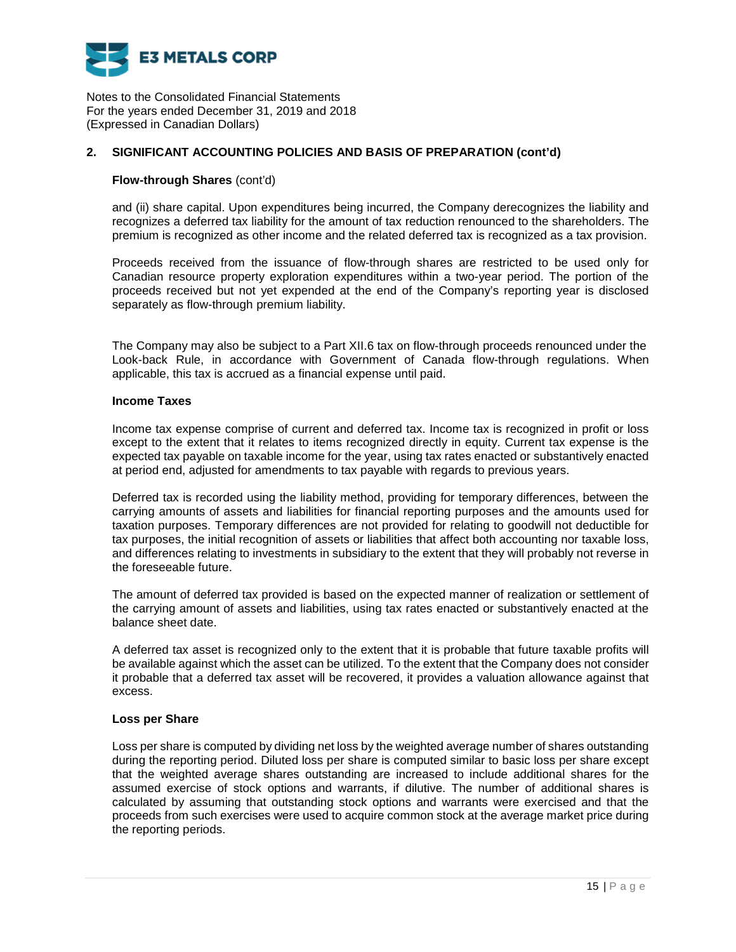

### **2. SIGNIFICANT ACCOUNTING POLICIES AND BASIS OF PREPARATION (cont'd)**

#### **Flow-through Shares** (cont'd)

and (ii) share capital. Upon expenditures being incurred, the Company derecognizes the liability and recognizes a deferred tax liability for the amount of tax reduction renounced to the shareholders. The premium is recognized as other income and the related deferred tax is recognized as a tax provision.

Proceeds received from the issuance of flow-through shares are restricted to be used only for Canadian resource property exploration expenditures within a two-year period. The portion of the proceeds received but not yet expended at the end of the Company's reporting year is disclosed separately as flow-through premium liability.

The Company may also be subject to a Part XII.6 tax on flow-through proceeds renounced under the Look-back Rule, in accordance with Government of Canada flow-through regulations. When applicable, this tax is accrued as a financial expense until paid.

#### **Income Taxes**

Income tax expense comprise of current and deferred tax. Income tax is recognized in profit or loss except to the extent that it relates to items recognized directly in equity. Current tax expense is the expected tax payable on taxable income for the year, using tax rates enacted or substantively enacted at period end, adjusted for amendments to tax payable with regards to previous years.

Deferred tax is recorded using the liability method, providing for temporary differences, between the carrying amounts of assets and liabilities for financial reporting purposes and the amounts used for taxation purposes. Temporary differences are not provided for relating to goodwill not deductible for tax purposes, the initial recognition of assets or liabilities that affect both accounting nor taxable loss, and differences relating to investments in subsidiary to the extent that they will probably not reverse in the foreseeable future.

The amount of deferred tax provided is based on the expected manner of realization or settlement of the carrying amount of assets and liabilities, using tax rates enacted or substantively enacted at the balance sheet date.

A deferred tax asset is recognized only to the extent that it is probable that future taxable profits will be available against which the asset can be utilized. To the extent that the Company does not consider it probable that a deferred tax asset will be recovered, it provides a valuation allowance against that excess.

#### **Loss per Share**

Loss per share is computed by dividing net loss by the weighted average number of shares outstanding during the reporting period. Diluted loss per share is computed similar to basic loss per share except that the weighted average shares outstanding are increased to include additional shares for the assumed exercise of stock options and warrants, if dilutive. The number of additional shares is calculated by assuming that outstanding stock options and warrants were exercised and that the proceeds from such exercises were used to acquire common stock at the average market price during the reporting periods.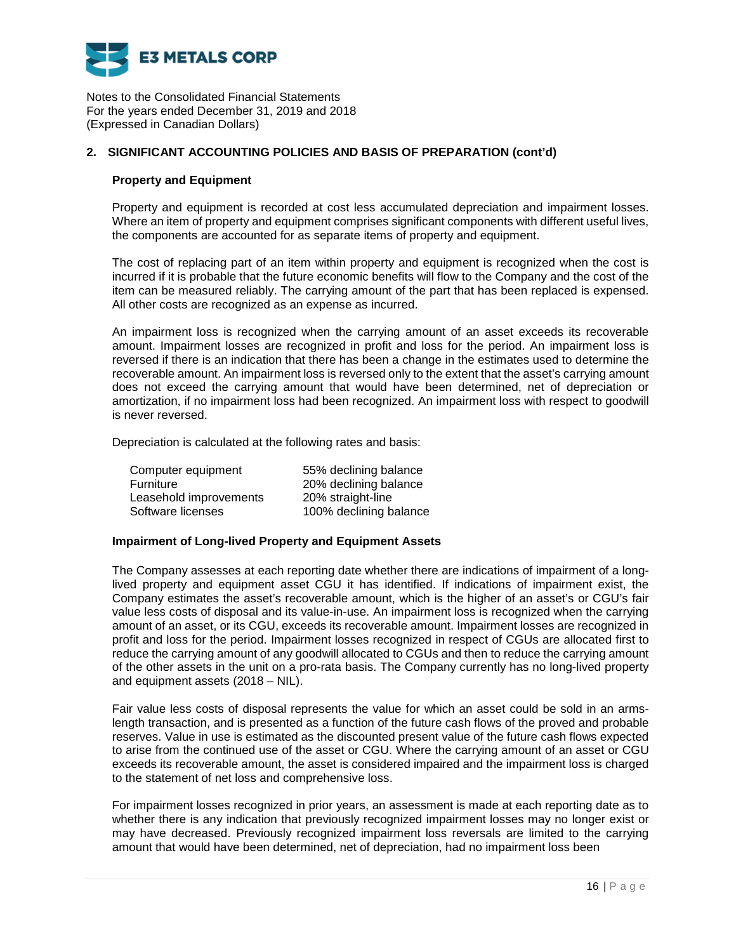

### **2. SIGNIFICANT ACCOUNTING POLICIES AND BASIS OF PREPARATION (cont'd)**

#### **Property and Equipment**

Property and equipment is recorded at cost less accumulated depreciation and impairment losses. Where an item of property and equipment comprises significant components with different useful lives, the components are accounted for as separate items of property and equipment.

The cost of replacing part of an item within property and equipment is recognized when the cost is incurred if it is probable that the future economic benefits will flow to the Company and the cost of the item can be measured reliably. The carrying amount of the part that has been replaced is expensed. All other costs are recognized as an expense as incurred.

An impairment loss is recognized when the carrying amount of an asset exceeds its recoverable amount. Impairment losses are recognized in profit and loss for the period. An impairment loss is reversed if there is an indication that there has been a change in the estimates used to determine the recoverable amount. An impairment loss is reversed only to the extent that the asset's carrying amount does not exceed the carrying amount that would have been determined, net of depreciation or amortization, if no impairment loss had been recognized. An impairment loss with respect to goodwill is never reversed.

Depreciation is calculated at the following rates and basis:

| Computer equipment     | 55% declining balance  |
|------------------------|------------------------|
| <b>Furniture</b>       | 20% declining balance  |
| Leasehold improvements | 20% straight-line      |
| Software licenses      | 100% declining balance |

#### **Impairment of Long-lived Property and Equipment Assets**

The Company assesses at each reporting date whether there are indications of impairment of a longlived property and equipment asset CGU it has identified. If indications of impairment exist, the Company estimates the asset's recoverable amount, which is the higher of an asset's or CGU's fair value less costs of disposal and its value-in-use. An impairment loss is recognized when the carrying amount of an asset, or its CGU, exceeds its recoverable amount. Impairment losses are recognized in profit and loss for the period. Impairment losses recognized in respect of CGUs are allocated first to reduce the carrying amount of any goodwill allocated to CGUs and then to reduce the carrying amount of the other assets in the unit on a pro-rata basis. The Company currently has no long-lived property and equipment assets (2018 – NIL).

Fair value less costs of disposal represents the value for which an asset could be sold in an armslength transaction, and is presented as a function of the future cash flows of the proved and probable reserves. Value in use is estimated as the discounted present value of the future cash flows expected to arise from the continued use of the asset or CGU. Where the carrying amount of an asset or CGU exceeds its recoverable amount, the asset is considered impaired and the impairment loss is charged to the statement of net loss and comprehensive loss.

For impairment losses recognized in prior years, an assessment is made at each reporting date as to whether there is any indication that previously recognized impairment losses may no longer exist or may have decreased. Previously recognized impairment loss reversals are limited to the carrying amount that would have been determined, net of depreciation, had no impairment loss been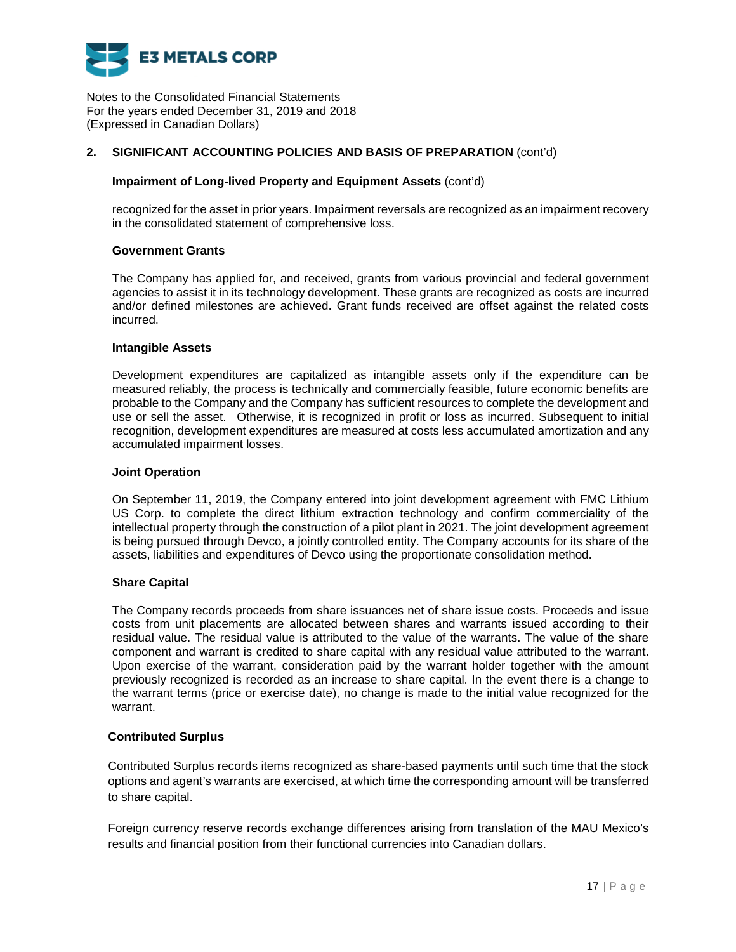

### **2. SIGNIFICANT ACCOUNTING POLICIES AND BASIS OF PREPARATION** (cont'd)

#### **Impairment of Long-lived Property and Equipment Assets** (cont'd)

recognized for the asset in prior years. Impairment reversals are recognized as an impairment recovery in the consolidated statement of comprehensive loss.

#### **Government Grants**

The Company has applied for, and received, grants from various provincial and federal government agencies to assist it in its technology development. These grants are recognized as costs are incurred and/or defined milestones are achieved. Grant funds received are offset against the related costs incurred.

#### **Intangible Assets**

Development expenditures are capitalized as intangible assets only if the expenditure can be measured reliably, the process is technically and commercially feasible, future economic benefits are probable to the Company and the Company has sufficient resources to complete the development and use or sell the asset. Otherwise, it is recognized in profit or loss as incurred. Subsequent to initial recognition, development expenditures are measured at costs less accumulated amortization and any accumulated impairment losses.

#### **Joint Operation**

On September 11, 2019, the Company entered into joint development agreement with FMC Lithium US Corp. to complete the direct lithium extraction technology and confirm commerciality of the intellectual property through the construction of a pilot plant in 2021. The joint development agreement is being pursued through Devco, a jointly controlled entity. The Company accounts for its share of the assets, liabilities and expenditures of Devco using the proportionate consolidation method.

#### **Share Capital**

The Company records proceeds from share issuances net of share issue costs. Proceeds and issue costs from unit placements are allocated between shares and warrants issued according to their residual value. The residual value is attributed to the value of the warrants. The value of the share component and warrant is credited to share capital with any residual value attributed to the warrant. Upon exercise of the warrant, consideration paid by the warrant holder together with the amount previously recognized is recorded as an increase to share capital. In the event there is a change to the warrant terms (price or exercise date), no change is made to the initial value recognized for the warrant.

### **Contributed Surplus**

Contributed Surplus records items recognized as share-based payments until such time that the stock options and agent's warrants are exercised, at which time the corresponding amount will be transferred to share capital.

Foreign currency reserve records exchange differences arising from translation of the MAU Mexico's results and financial position from their functional currencies into Canadian dollars.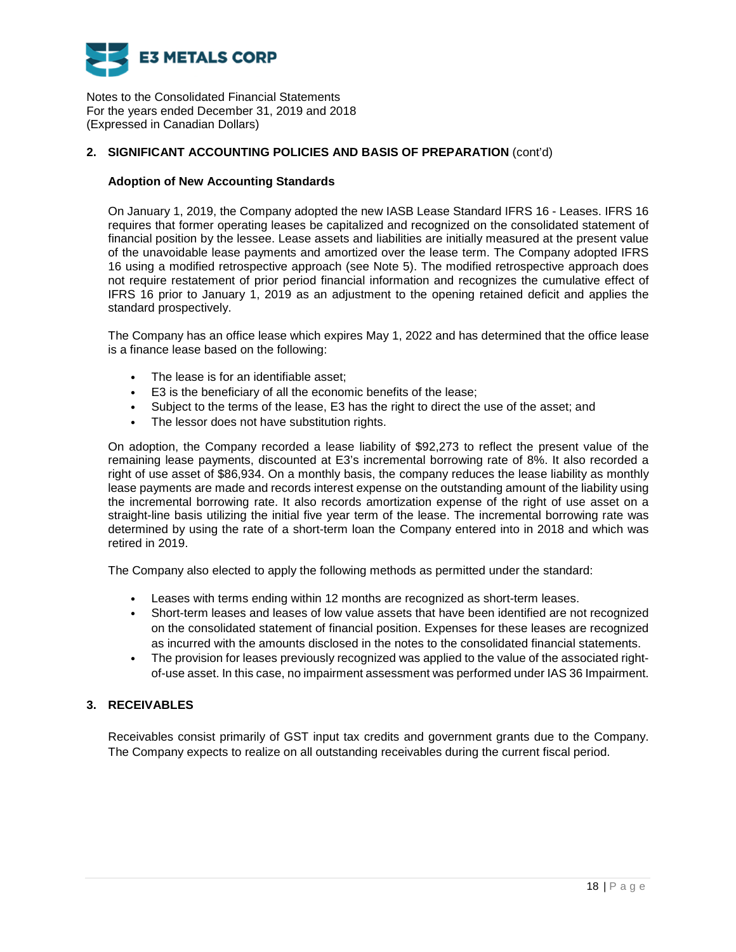

## **2. SIGNIFICANT ACCOUNTING POLICIES AND BASIS OF PREPARATION** (cont'd)

### **Adoption of New Accounting Standards**

On January 1, 2019, the Company adopted the new IASB Lease Standard IFRS 16 - Leases. IFRS 16 requires that former operating leases be capitalized and recognized on the consolidated statement of financial position by the lessee. Lease assets and liabilities are initially measured at the present value of the unavoidable lease payments and amortized over the lease term. The Company adopted IFRS 16 using a modified retrospective approach (see Note 5). The modified retrospective approach does not require restatement of prior period financial information and recognizes the cumulative effect of IFRS 16 prior to January 1, 2019 as an adjustment to the opening retained deficit and applies the standard prospectively.

The Company has an office lease which expires May 1, 2022 and has determined that the office lease is a finance lease based on the following:

- The lease is for an identifiable asset;
- E3 is the beneficiary of all the economic benefits of the lease;
- Subject to the terms of the lease, E3 has the right to direct the use of the asset; and
- The lessor does not have substitution rights.

On adoption, the Company recorded a lease liability of \$92,273 to reflect the present value of the remaining lease payments, discounted at E3's incremental borrowing rate of 8%. It also recorded a right of use asset of \$86,934. On a monthly basis, the company reduces the lease liability as monthly lease payments are made and records interest expense on the outstanding amount of the liability using the incremental borrowing rate. It also records amortization expense of the right of use asset on a straight-line basis utilizing the initial five year term of the lease. The incremental borrowing rate was determined by using the rate of a short-term loan the Company entered into in 2018 and which was retired in 2019.

The Company also elected to apply the following methods as permitted under the standard:

- Leases with terms ending within 12 months are recognized as short-term leases.
- Short-term leases and leases of low value assets that have been identified are not recognized on the consolidated statement of financial position. Expenses for these leases are recognized as incurred with the amounts disclosed in the notes to the consolidated financial statements.
- The provision for leases previously recognized was applied to the value of the associated rightof-use asset. In this case, no impairment assessment was performed under IAS 36 Impairment.

### **3. RECEIVABLES**

Receivables consist primarily of GST input tax credits and government grants due to the Company. The Company expects to realize on all outstanding receivables during the current fiscal period.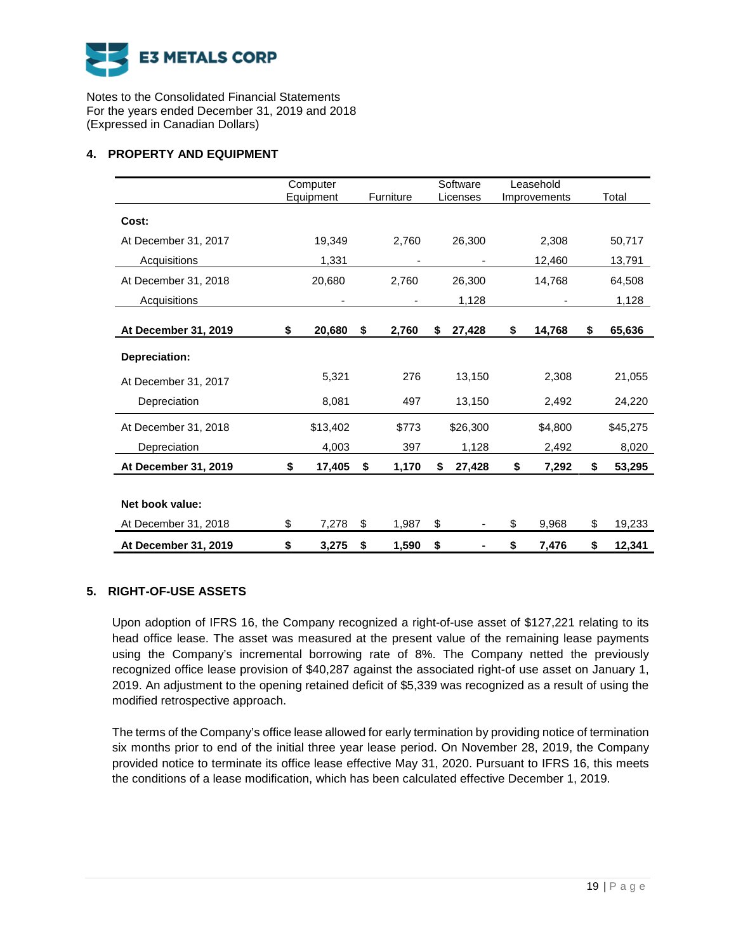

## **4. PROPERTY AND EQUIPMENT**

|                      | Computer<br>Equipment |    | Furniture |    | Software<br>Licenses |    | Leasehold<br>Improvements | Total        |
|----------------------|-----------------------|----|-----------|----|----------------------|----|---------------------------|--------------|
| Cost:                |                       |    |           |    |                      |    |                           |              |
|                      |                       |    |           |    |                      |    |                           |              |
| At December 31, 2017 | 19,349                |    | 2,760     |    | 26,300               |    | 2,308                     | 50,717       |
| Acquisitions         | 1,331                 |    |           |    |                      |    | 12,460                    | 13,791       |
| At December 31, 2018 | 20,680                |    | 2,760     |    | 26,300               |    | 14,768                    | 64,508       |
| Acquisitions         |                       |    |           |    | 1,128                |    |                           | 1,128        |
|                      |                       |    |           |    |                      |    |                           |              |
| At December 31, 2019 | \$<br>20,680          | \$ | 2,760     | \$ | 27,428               | S  | 14,768                    | \$<br>65,636 |
| Depreciation:        |                       |    |           |    |                      |    |                           |              |
| At December 31, 2017 | 5,321                 |    | 276       |    | 13,150               |    | 2,308                     | 21,055       |
| Depreciation         | 8,081                 |    | 497       |    | 13,150               |    | 2,492                     | 24,220       |
| At December 31, 2018 | \$13,402              |    | \$773     |    | \$26,300             |    | \$4,800                   | \$45,275     |
| Depreciation         | 4,003                 |    | 397       |    | 1,128                |    | 2,492                     | 8,020        |
| At December 31, 2019 | \$<br>17,405          | S  | 1,170     | S  | 27,428               | \$ | 7,292                     | \$<br>53,295 |
|                      |                       |    |           |    |                      |    |                           |              |
| Net book value:      |                       |    |           |    |                      |    |                           |              |
| At December 31, 2018 | \$<br>7,278           | \$ | 1,987     | \$ |                      | \$ | 9,968                     | \$<br>19,233 |
| At December 31, 2019 | \$<br>3,275           | \$ | 1,590     | \$ |                      | \$ | 7,476                     | \$<br>12,341 |

## **5. RIGHT-OF-USE ASSETS**

Upon adoption of IFRS 16, the Company recognized a right-of-use asset of \$127,221 relating to its head office lease. The asset was measured at the present value of the remaining lease payments using the Company's incremental borrowing rate of 8%. The Company netted the previously recognized office lease provision of \$40,287 against the associated right-of use asset on January 1, 2019. An adjustment to the opening retained deficit of \$5,339 was recognized as a result of using the modified retrospective approach.

The terms of the Company's office lease allowed for early termination by providing notice of termination six months prior to end of the initial three year lease period. On November 28, 2019, the Company provided notice to terminate its office lease effective May 31, 2020. Pursuant to IFRS 16, this meets the conditions of a lease modification, which has been calculated effective December 1, 2019.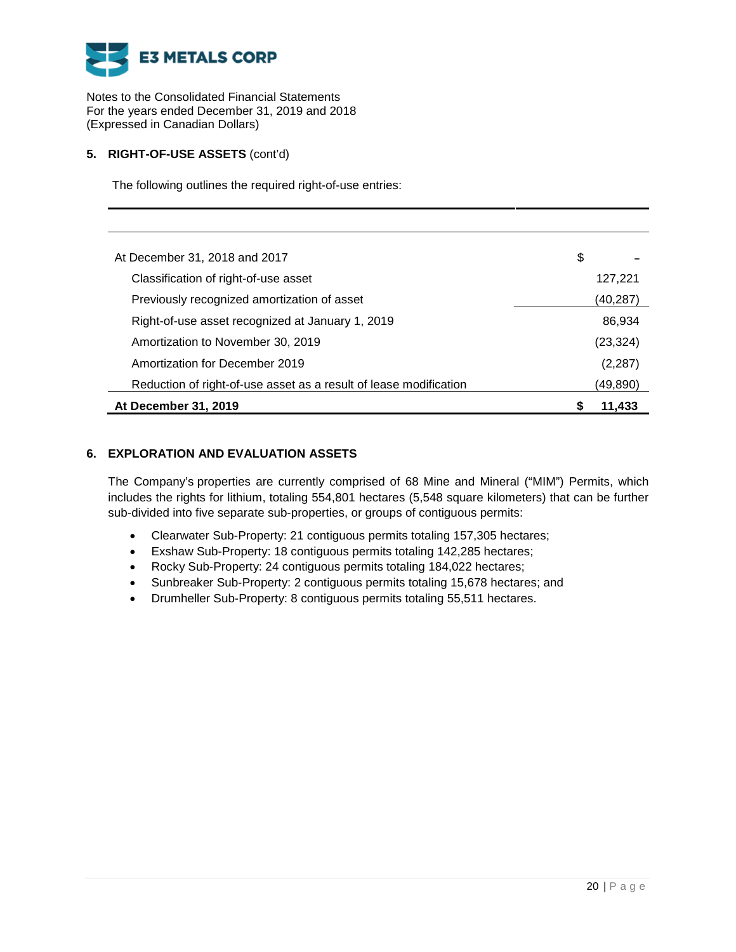

### **5. RIGHT-OF-USE ASSETS** (cont'd)

The following outlines the required right-of-use entries:

| At December 31, 2018 and 2017                                     | \$        |
|-------------------------------------------------------------------|-----------|
| Classification of right-of-use asset                              | 127,221   |
| Previously recognized amortization of asset                       | (40,287)  |
| Right-of-use asset recognized at January 1, 2019                  | 86,934    |
| Amortization to November 30, 2019                                 | (23, 324) |
| Amortization for December 2019                                    | (2, 287)  |
| Reduction of right-of-use asset as a result of lease modification | (49,890)  |
| At December 31, 2019                                              | 11,433    |

## **6. EXPLORATION AND EVALUATION ASSETS**

The Company's properties are currently comprised of 68 Mine and Mineral ("MIM") Permits, which includes the rights for lithium, totaling 554,801 hectares (5,548 square kilometers) that can be further sub-divided into five separate sub-properties, or groups of contiguous permits:

- Clearwater Sub-Property: 21 contiguous permits totaling 157,305 hectares;
- Exshaw Sub-Property: 18 contiguous permits totaling 142,285 hectares;
- Rocky Sub-Property: 24 contiguous permits totaling 184,022 hectares;
- Sunbreaker Sub-Property: 2 contiguous permits totaling 15,678 hectares; and
- Drumheller Sub-Property: 8 contiguous permits totaling 55,511 hectares.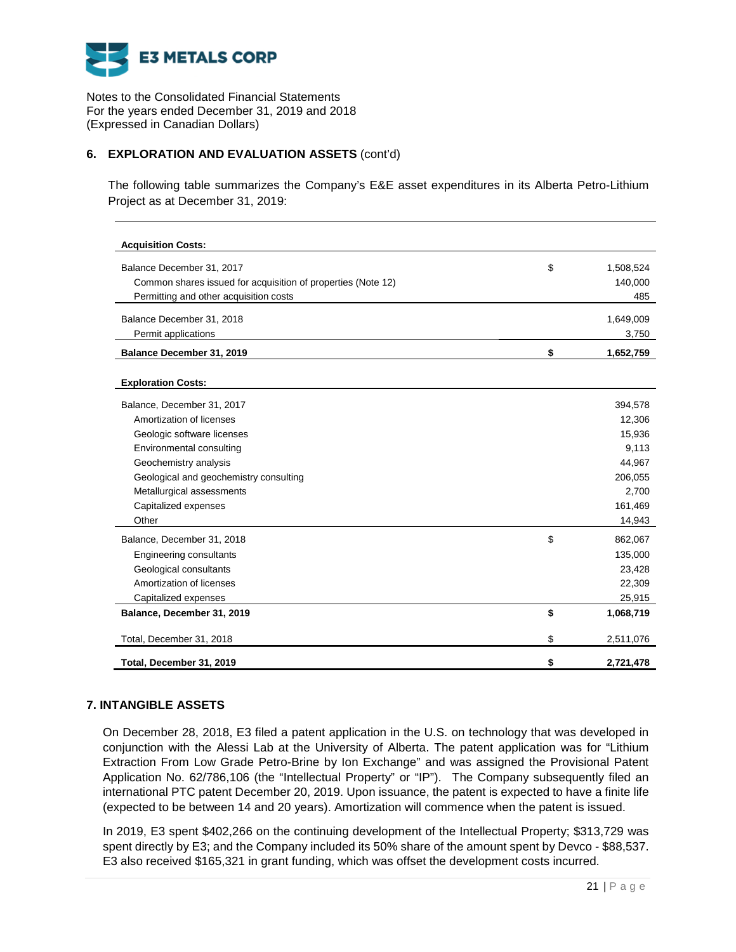

## **6. EXPLORATION AND EVALUATION ASSETS** (cont'd)

The following table summarizes the Company's E&E asset expenditures in its Alberta Petro-Lithium Project as at December 31, 2019:

| <b>Acquisition Costs:</b>                                    |                 |
|--------------------------------------------------------------|-----------------|
| Balance December 31, 2017                                    | \$<br>1,508,524 |
| Common shares issued for acquisition of properties (Note 12) | 140,000         |
| Permitting and other acquisition costs                       | 485             |
| Balance December 31, 2018                                    | 1,649,009       |
| Permit applications                                          | 3,750           |
| Balance December 31, 2019                                    | \$<br>1,652,759 |
| <b>Exploration Costs:</b>                                    |                 |
| Balance, December 31, 2017                                   | 394,578         |
| Amortization of licenses                                     | 12,306          |
| Geologic software licenses                                   | 15,936          |
| Environmental consulting                                     | 9,113           |
| Geochemistry analysis                                        | 44,967          |
| Geological and geochemistry consulting                       | 206,055         |
| Metallurgical assessments                                    | 2,700           |
| Capitalized expenses                                         | 161,469         |
| Other                                                        | 14,943          |
| Balance, December 31, 2018                                   | \$<br>862,067   |
| <b>Engineering consultants</b>                               | 135,000         |
| Geological consultants                                       | 23,428          |
| Amortization of licenses                                     | 22,309          |
| Capitalized expenses                                         | 25,915          |
| Balance, December 31, 2019                                   | \$<br>1,068,719 |
| Total, December 31, 2018                                     | \$<br>2,511,076 |
| Total, December 31, 2019                                     | \$<br>2,721,478 |

## **7. INTANGIBLE ASSETS**

On December 28, 2018, E3 filed a patent application in the U.S. on technology that was developed in conjunction with the Alessi Lab at the University of Alberta. The patent application was for "Lithium Extraction From Low Grade Petro-Brine by Ion Exchange" and was assigned the Provisional Patent Application No. 62/786,106 (the "Intellectual Property" or "IP"). The Company subsequently filed an international PTC patent December 20, 2019. Upon issuance, the patent is expected to have a finite life (expected to be between 14 and 20 years). Amortization will commence when the patent is issued.

In 2019, E3 spent \$402,266 on the continuing development of the Intellectual Property; \$313,729 was spent directly by E3; and the Company included its 50% share of the amount spent by Devco - \$88,537. E3 also received \$165,321 in grant funding, which was offset the development costs incurred.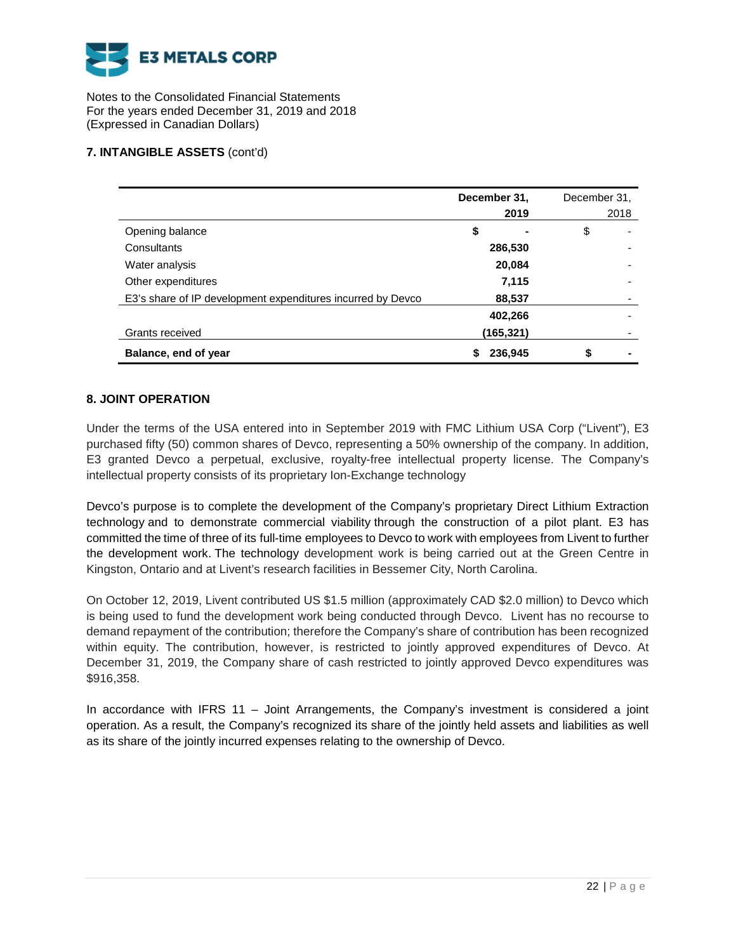

## **7. INTANGIBLE ASSETS** (cont'd)

|                                                             |    | December 31, | December 31, |                          |
|-------------------------------------------------------------|----|--------------|--------------|--------------------------|
|                                                             |    | 2019         |              | 2018                     |
| Opening balance                                             | \$ |              | \$           | $\overline{\phantom{0}}$ |
| Consultants                                                 |    | 286,530      |              |                          |
| Water analysis                                              |    | 20,084       |              |                          |
| Other expenditures                                          |    | 7,115        |              |                          |
| E3's share of IP development expenditures incurred by Devco |    | 88,537       |              |                          |
|                                                             |    | 402,266      |              |                          |
| Grants received                                             |    | (165,321)    |              |                          |
| Balance, end of year                                        | S  | 236,945      | \$           | $\blacksquare$           |

## **8. JOINT OPERATION**

Under the terms of the USA entered into in September 2019 with FMC Lithium USA Corp ("Livent"), E3 purchased fifty (50) common shares of Devco, representing a 50% ownership of the company. In addition, E3 granted Devco a perpetual, exclusive, royalty-free intellectual property license. The Company's intellectual property consists of its proprietary Ion-Exchange technology

Devco's purpose is to complete the development of the Company's proprietary Direct Lithium Extraction technology and to demonstrate commercial viability through the construction of a pilot plant. E3 has committed the time of three of its full-time employees to Devco to work with employees from Livent to further the development work. The technology development work is being carried out at the Green Centre in Kingston, Ontario and at Livent's research facilities in Bessemer City, North Carolina.

On October 12, 2019, Livent contributed US \$1.5 million (approximately CAD \$2.0 million) to Devco which is being used to fund the development work being conducted through Devco. Livent has no recourse to demand repayment of the contribution; therefore the Company's share of contribution has been recognized within equity. The contribution, however, is restricted to jointly approved expenditures of Devco. At December 31, 2019, the Company share of cash restricted to jointly approved Devco expenditures was \$916,358.

In accordance with IFRS 11 – Joint Arrangements, the Company's investment is considered a joint operation. As a result, the Company's recognized its share of the jointly held assets and liabilities as well as its share of the jointly incurred expenses relating to the ownership of Devco.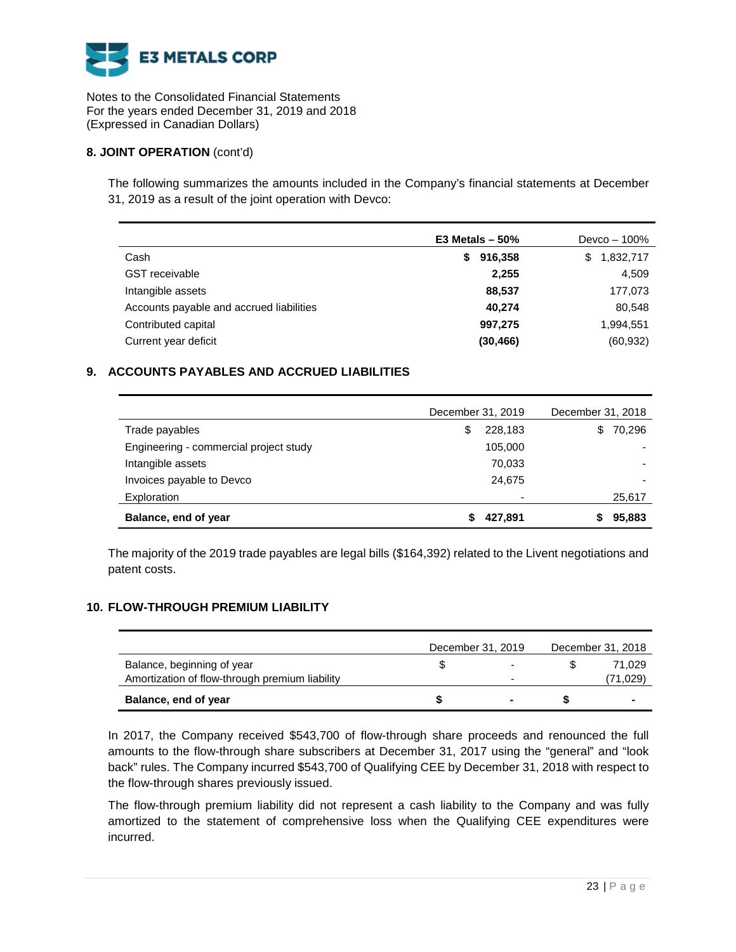

## **8. JOINT OPERATION** (cont'd)

The following summarizes the amounts included in the Company's financial statements at December 31, 2019 as a result of the joint operation with Devco:

|                                          | E3 Metals $-50\%$ | Devco $-100\%$  |
|------------------------------------------|-------------------|-----------------|
| Cash                                     | 916,358<br>S.     | 1,832,717<br>S. |
| <b>GST</b> receivable                    | 2,255             | 4,509           |
| Intangible assets                        | 88,537            | 177,073         |
| Accounts payable and accrued liabilities | 40.274            | 80,548          |
| Contributed capital                      | 997,275           | 1,994,551       |
| Current year deficit                     | (30, 466)         | (60, 932)       |

## **9. ACCOUNTS PAYABLES AND ACCRUED LIABILITIES**

|                                        | December 31, 2019 | December 31, 2018 |
|----------------------------------------|-------------------|-------------------|
| Trade payables                         | 228,183<br>S      | 70,296<br>\$      |
| Engineering - commercial project study | 105,000           | -                 |
| Intangible assets                      | 70,033            | ۰                 |
| Invoices payable to Devco              | 24,675            |                   |
| Exploration                            | -                 | 25,617            |
| Balance, end of year                   | 427,891           | 95,883            |

The majority of the 2019 trade payables are legal bills (\$164,392) related to the Livent negotiations and patent costs.

### **10. FLOW-THROUGH PREMIUM LIABILITY**

|                                                | December 31, 2019 |                | December 31, 2018 |
|------------------------------------------------|-------------------|----------------|-------------------|
| Balance, beginning of year                     |                   | $\blacksquare$ | 71.029            |
| Amortization of flow-through premium liability |                   | -              | (71,029)          |
| Balance, end of year                           |                   |                |                   |

In 2017, the Company received \$543,700 of flow-through share proceeds and renounced the full amounts to the flow-through share subscribers at December 31, 2017 using the "general" and "look back" rules. The Company incurred \$543,700 of Qualifying CEE by December 31, 2018 with respect to the flow-through shares previously issued.

The flow-through premium liability did not represent a cash liability to the Company and was fully amortized to the statement of comprehensive loss when the Qualifying CEE expenditures were incurred.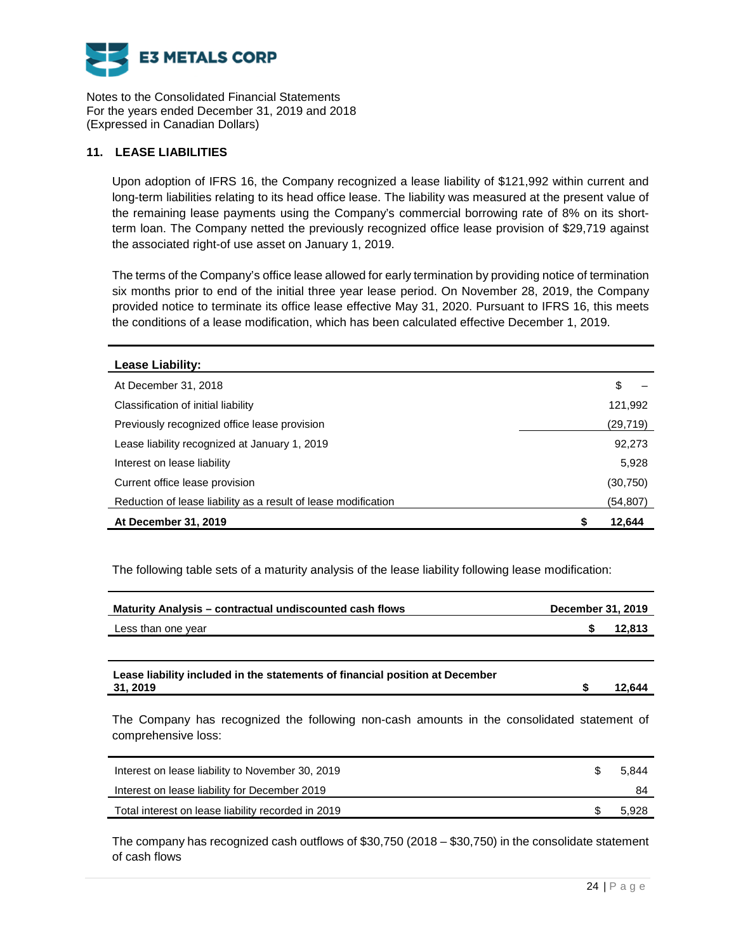

### **11. LEASE LIABILITIES**

Upon adoption of IFRS 16, the Company recognized a lease liability of \$121,992 within current and long-term liabilities relating to its head office lease. The liability was measured at the present value of the remaining lease payments using the Company's commercial borrowing rate of 8% on its shortterm loan. The Company netted the previously recognized office lease provision of \$29,719 against the associated right-of use asset on January 1, 2019.

The terms of the Company's office lease allowed for early termination by providing notice of termination six months prior to end of the initial three year lease period. On November 28, 2019, the Company provided notice to terminate its office lease effective May 31, 2020. Pursuant to IFRS 16, this meets the conditions of a lease modification, which has been calculated effective December 1, 2019.

| <b>Lease Liability:</b>                                        |           |
|----------------------------------------------------------------|-----------|
| At December 31, 2018                                           | S         |
| Classification of initial liability                            | 121,992   |
| Previously recognized office lease provision                   | (29, 719) |
| Lease liability recognized at January 1, 2019                  | 92,273    |
| Interest on lease liability                                    | 5,928     |
| Current office lease provision                                 | (30, 750) |
| Reduction of lease liability as a result of lease modification | (54,807)  |
| At December 31, 2019                                           | 12,644    |

The following table sets of a maturity analysis of the lease liability following lease modification:

| Maturity Analysis – contractual undiscounted cash flows | December 31, 2019 |        |
|---------------------------------------------------------|-------------------|--------|
| Less than one year                                      |                   | 12.813 |

**Lease liability included in the statements of financial position at December 31, 2019 \$ 12,644**

The Company has recognized the following non-cash amounts in the consolidated statement of comprehensive loss:

| Interest on lease liability to November 30, 2019   | 5.844 |
|----------------------------------------------------|-------|
| Interest on lease liability for December 2019      | 84    |
| Total interest on lease liability recorded in 2019 | 5.928 |

The company has recognized cash outflows of \$30,750 (2018 – \$30,750) in the consolidate statement of cash flows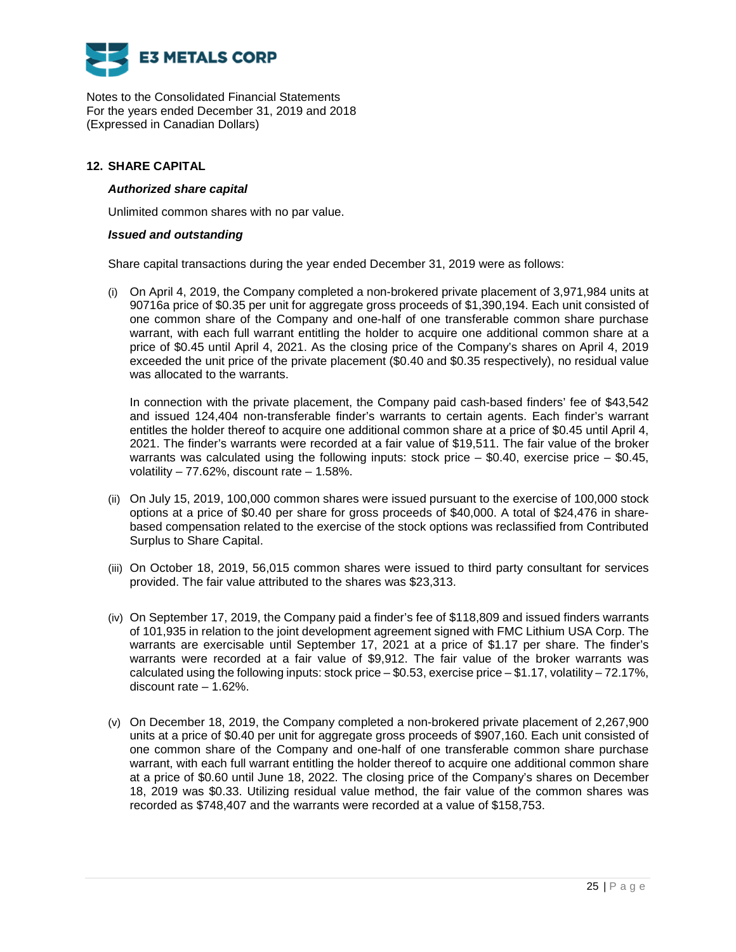

## **12. SHARE CAPITAL**

### *Authorized share capital*

Unlimited common shares with no par value.

#### *Issued and outstanding*

Share capital transactions during the year ended December 31, 2019 were as follows:

(i) On April 4, 2019, the Company completed a non-brokered private placement of 3,971,984 units at 90716a price of \$0.35 per unit for aggregate gross proceeds of \$1,390,194. Each unit consisted of one common share of the Company and one-half of one transferable common share purchase warrant, with each full warrant entitling the holder to acquire one additional common share at a price of \$0.45 until April 4, 2021. As the closing price of the Company's shares on April 4, 2019 exceeded the unit price of the private placement (\$0.40 and \$0.35 respectively), no residual value was allocated to the warrants.

In connection with the private placement, the Company paid cash-based finders' fee of \$43,542 and issued 124,404 non-transferable finder's warrants to certain agents. Each finder's warrant entitles the holder thereof to acquire one additional common share at a price of \$0.45 until April 4, 2021. The finder's warrants were recorded at a fair value of \$19,511. The fair value of the broker warrants was calculated using the following inputs: stock price  $-$  \$0.40, exercise price  $-$  \$0.45, volatility – 77.62%, discount rate – 1.58%.

- (ii) On July 15, 2019, 100,000 common shares were issued pursuant to the exercise of 100,000 stock options at a price of \$0.40 per share for gross proceeds of \$40,000. A total of \$24,476 in sharebased compensation related to the exercise of the stock options was reclassified from Contributed Surplus to Share Capital.
- (iii) On October 18, 2019, 56,015 common shares were issued to third party consultant for services provided. The fair value attributed to the shares was \$23,313.
- (iv) On September 17, 2019, the Company paid a finder's fee of \$118,809 and issued finders warrants of 101,935 in relation to the joint development agreement signed with FMC Lithium USA Corp. The warrants are exercisable until September 17, 2021 at a price of \$1.17 per share. The finder's warrants were recorded at a fair value of \$9,912. The fair value of the broker warrants was calculated using the following inputs: stock price  $-$  \$0.53, exercise price  $-$  \$1.17, volatility  $-$  72.17%, discount rate – 1.62%.
- (v) On December 18, 2019, the Company completed a non-brokered private placement of 2,267,900 units at a price of \$0.40 per unit for aggregate gross proceeds of \$907,160. Each unit consisted of one common share of the Company and one-half of one transferable common share purchase warrant, with each full warrant entitling the holder thereof to acquire one additional common share at a price of \$0.60 until June 18, 2022. The closing price of the Company's shares on December 18, 2019 was \$0.33. Utilizing residual value method, the fair value of the common shares was recorded as \$748,407 and the warrants were recorded at a value of \$158,753.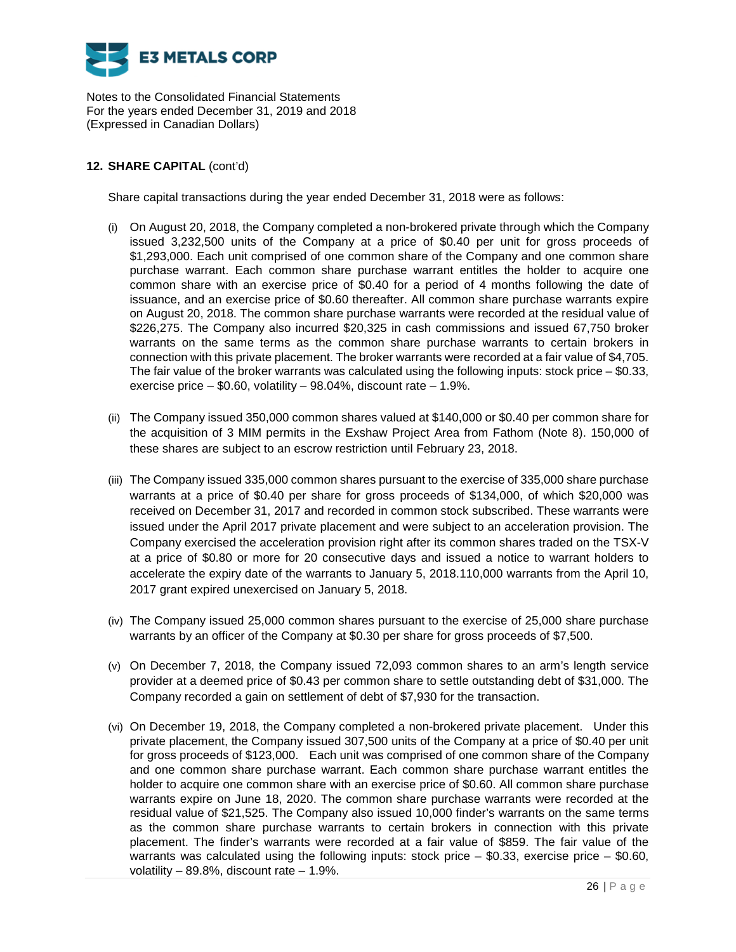

## **12. SHARE CAPITAL** (cont'd)

Share capital transactions during the year ended December 31, 2018 were as follows:

- (i) On August 20, 2018, the Company completed a non-brokered private through which the Company issued 3,232,500 units of the Company at a price of \$0.40 per unit for gross proceeds of \$1,293,000. Each unit comprised of one common share of the Company and one common share purchase warrant. Each common share purchase warrant entitles the holder to acquire one common share with an exercise price of \$0.40 for a period of 4 months following the date of issuance, and an exercise price of \$0.60 thereafter. All common share purchase warrants expire on August 20, 2018. The common share purchase warrants were recorded at the residual value of \$226,275. The Company also incurred \$20,325 in cash commissions and issued 67,750 broker warrants on the same terms as the common share purchase warrants to certain brokers in connection with this private placement. The broker warrants were recorded at a fair value of \$4,705. The fair value of the broker warrants was calculated using the following inputs: stock price  $-$  \$0.33, exercise price  $-$  \$0.60, volatility  $-$  98.04%, discount rate  $-$  1.9%.
- (ii) The Company issued 350,000 common shares valued at \$140,000 or \$0.40 per common share for the acquisition of 3 MIM permits in the Exshaw Project Area from Fathom (Note 8). 150,000 of these shares are subject to an escrow restriction until February 23, 2018.
- (iii) The Company issued 335,000 common shares pursuant to the exercise of 335,000 share purchase warrants at a price of \$0.40 per share for gross proceeds of \$134,000, of which \$20,000 was received on December 31, 2017 and recorded in common stock subscribed. These warrants were issued under the April 2017 private placement and were subject to an acceleration provision. The Company exercised the acceleration provision right after its common shares traded on the TSX-V at a price of \$0.80 or more for 20 consecutive days and issued a notice to warrant holders to accelerate the expiry date of the warrants to January 5, 2018.110,000 warrants from the April 10, 2017 grant expired unexercised on January 5, 2018.
- (iv) The Company issued 25,000 common shares pursuant to the exercise of 25,000 share purchase warrants by an officer of the Company at \$0.30 per share for gross proceeds of \$7,500.
- (v) On December 7, 2018, the Company issued 72,093 common shares to an arm's length service provider at a deemed price of \$0.43 per common share to settle outstanding debt of \$31,000. The Company recorded a gain on settlement of debt of \$7,930 for the transaction.
- (vi) On December 19, 2018, the Company completed a non-brokered private placement. Under this private placement, the Company issued 307,500 units of the Company at a price of \$0.40 per unit for gross proceeds of \$123,000. Each unit was comprised of one common share of the Company and one common share purchase warrant. Each common share purchase warrant entitles the holder to acquire one common share with an exercise price of \$0.60. All common share purchase warrants expire on June 18, 2020. The common share purchase warrants were recorded at the residual value of \$21,525. The Company also issued 10,000 finder's warrants on the same terms as the common share purchase warrants to certain brokers in connection with this private placement. The finder's warrants were recorded at a fair value of \$859. The fair value of the warrants was calculated using the following inputs: stock price – \$0.33, exercise price – \$0.60, volatility – 89.8%, discount rate – 1.9%.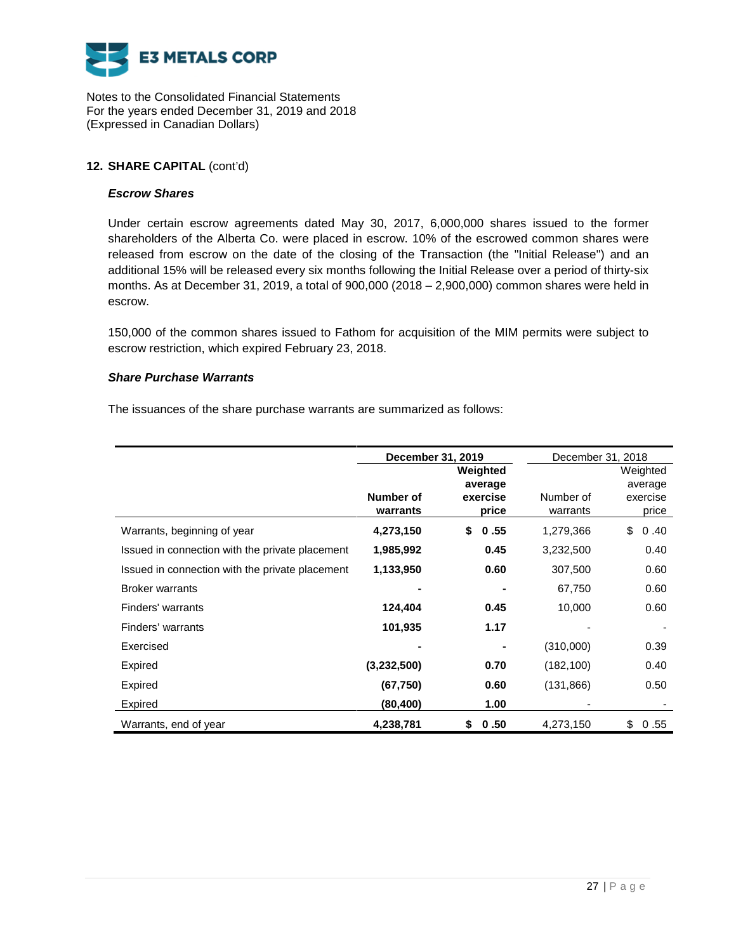

## **12. SHARE CAPITAL** (cont'd)

#### *Escrow Shares*

Under certain escrow agreements dated May 30, 2017, 6,000,000 shares issued to the former shareholders of the Alberta Co. were placed in escrow. 10% of the escrowed common shares were released from escrow on the date of the closing of the Transaction (the "Initial Release") and an additional 15% will be released every six months following the Initial Release over a period of thirty-six months. As at December 31, 2019, a total of 900,000 (2018 – 2,900,000) common shares were held in escrow.

150,000 of the common shares issued to Fathom for acquisition of the MIM permits were subject to escrow restriction, which expired February 23, 2018.

#### *Share Purchase Warrants*

The issuances of the share purchase warrants are summarized as follows:

|                                                 | December 31, 2019     |                                          | December 31, 2018     |                                          |  |
|-------------------------------------------------|-----------------------|------------------------------------------|-----------------------|------------------------------------------|--|
|                                                 | Number of<br>warrants | Weighted<br>average<br>exercise<br>price | Number of<br>warrants | Weighted<br>average<br>exercise<br>price |  |
| Warrants, beginning of year                     | 4,273,150             | \$<br>0.55                               | 1,279,366             | \$<br>0.40                               |  |
| Issued in connection with the private placement | 1,985,992             | 0.45                                     | 3,232,500             | 0.40                                     |  |
| Issued in connection with the private placement | 1,133,950             | 0.60                                     | 307,500               | 0.60                                     |  |
| <b>Broker warrants</b>                          |                       |                                          | 67,750                | 0.60                                     |  |
| Finders' warrants                               | 124,404               | 0.45                                     | 10,000                | 0.60                                     |  |
| Finders' warrants                               | 101,935               | 1.17                                     |                       |                                          |  |
| Exercised                                       |                       |                                          | (310,000)             | 0.39                                     |  |
| Expired                                         | (3,232,500)           | 0.70                                     | (182, 100)            | 0.40                                     |  |
| Expired                                         | (67, 750)             | 0.60                                     | (131, 866)            | 0.50                                     |  |
| Expired                                         | (80, 400)             | 1.00                                     |                       |                                          |  |
| Warrants, end of year                           | 4,238,781             | 0.50<br>\$                               | 4,273,150             | \$<br>0.55                               |  |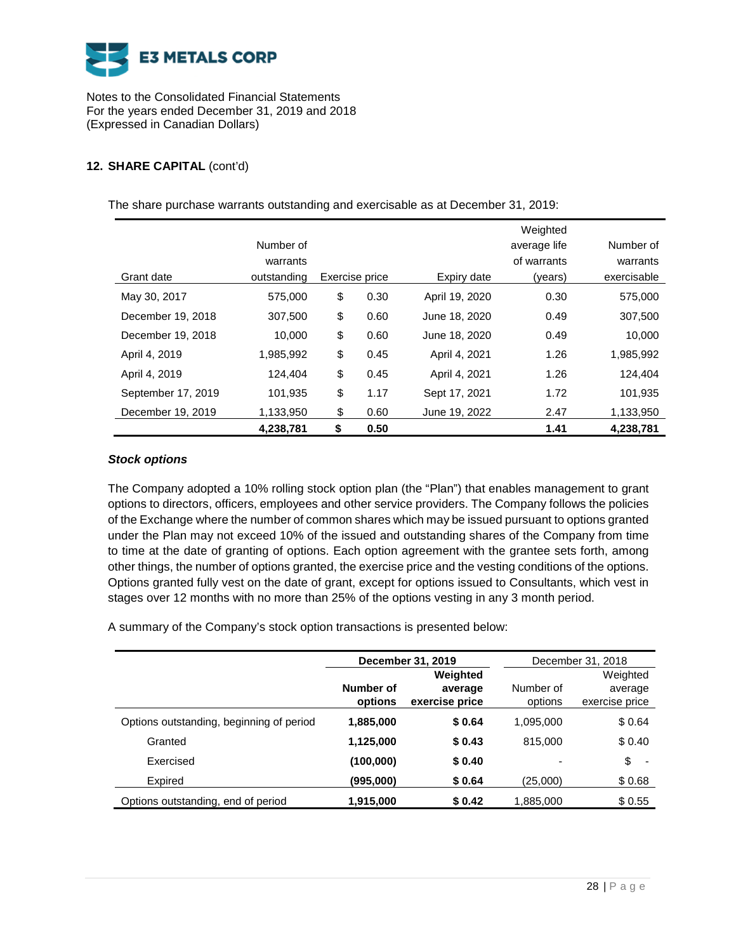

## **12. SHARE CAPITAL** (cont'd)

The share purchase warrants outstanding and exercisable as at December 31, 2019:

|                    |             |                |                | Weighted     |             |
|--------------------|-------------|----------------|----------------|--------------|-------------|
|                    | Number of   |                |                | average life | Number of   |
|                    | warrants    |                |                | of warrants  | warrants    |
| Grant date         | outstanding | Exercise price | Expiry date    | (years)      | exercisable |
| May 30, 2017       | 575.000     | \$<br>0.30     | April 19, 2020 | 0.30         | 575,000     |
| December 19, 2018  | 307,500     | \$<br>0.60     | June 18, 2020  | 0.49         | 307,500     |
| December 19, 2018  | 10,000      | \$<br>0.60     | June 18, 2020  | 0.49         | 10,000      |
| April 4, 2019      | 1,985,992   | \$<br>0.45     | April 4, 2021  | 1.26         | 1,985,992   |
| April 4, 2019      | 124.404     | \$<br>0.45     | April 4, 2021  | 1.26         | 124.404     |
| September 17, 2019 | 101,935     | \$<br>1.17     | Sept 17, 2021  | 1.72         | 101,935     |
| December 19, 2019  | 1,133,950   | \$<br>0.60     | June 19, 2022  | 2.47         | 1,133,950   |
|                    | 4,238,781   | \$<br>0.50     |                | 1.41         | 4,238,781   |

## *Stock options*

The Company adopted a 10% rolling stock option plan (the "Plan") that enables management to grant options to directors, officers, employees and other service providers. The Company follows the policies of the Exchange where the number of common shares which may be issued pursuant to options granted under the Plan may not exceed 10% of the issued and outstanding shares of the Company from time to time at the date of granting of options. Each option agreement with the grantee sets forth, among other things, the number of options granted, the exercise price and the vesting conditions of the options. Options granted fully vest on the date of grant, except for options issued to Consultants, which vest in stages over 12 months with no more than 25% of the options vesting in any 3 month period.

A summary of the Company's stock option transactions is presented below:

|                                          |                      | December 31, 2019                     |                      | December 31, 2018                     |  |  |
|------------------------------------------|----------------------|---------------------------------------|----------------------|---------------------------------------|--|--|
|                                          | Number of<br>options | Weighted<br>average<br>exercise price | Number of<br>options | Weighted<br>average<br>exercise price |  |  |
| Options outstanding, beginning of period | 1,885,000            | \$0.64                                | 1,095,000            | \$0.64                                |  |  |
| Granted                                  | 1,125,000            | \$0.43                                | 815,000              | \$0.40                                |  |  |
| Exercised                                | (100,000)            | \$0.40                                |                      | \$<br>$\overline{\phantom{a}}$        |  |  |
| Expired                                  | (995,000)            | \$0.64                                | (25,000)             | \$0.68                                |  |  |
| Options outstanding, end of period       | 1,915,000            | \$0.42                                | 1,885,000            | \$0.55                                |  |  |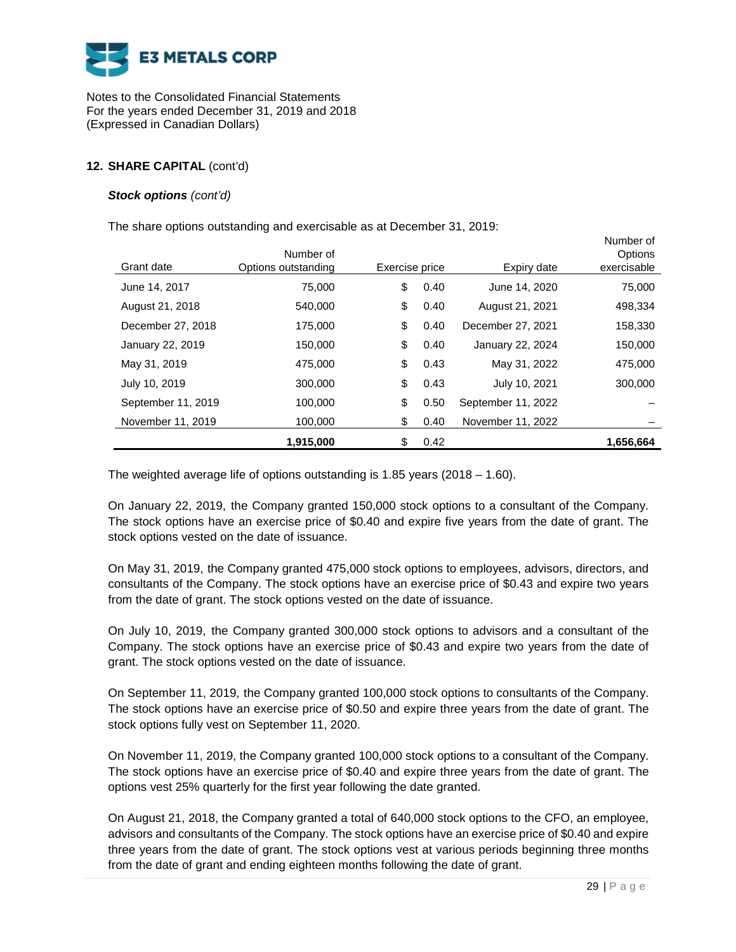

## **12. SHARE CAPITAL** (cont'd)

### *Stock options (cont'd)*

The share options outstanding and exercisable as at December 31, 2019:

| Grant date         | Number of<br>Options outstanding | Exercise price |      | Expiry date        | Number of<br>Options<br>exercisable |
|--------------------|----------------------------------|----------------|------|--------------------|-------------------------------------|
| June 14, 2017      | 75.000                           | \$             | 0.40 | June 14, 2020      | 75,000                              |
| August 21, 2018    | 540.000                          | \$             | 0.40 | August 21, 2021    | 498,334                             |
| December 27, 2018  | 175,000                          | \$             | 0.40 | December 27, 2021  | 158,330                             |
| January 22, 2019   | 150,000                          | \$             | 0.40 | January 22, 2024   | 150,000                             |
| May 31, 2019       | 475.000                          | \$             | 0.43 | May 31, 2022       | 475,000                             |
| July 10, 2019      | 300,000                          | \$             | 0.43 | July 10, 2021      | 300,000                             |
| September 11, 2019 | 100,000                          | \$             | 0.50 | September 11, 2022 |                                     |
| November 11, 2019  | 100.000                          | \$             | 0.40 | November 11, 2022  |                                     |
|                    | 1,915,000                        | \$             | 0.42 |                    | 1,656,664                           |

The weighted average life of options outstanding is 1.85 years (2018 – 1.60).

On January 22, 2019, the Company granted 150,000 stock options to a consultant of the Company. The stock options have an exercise price of \$0.40 and expire five years from the date of grant. The stock options vested on the date of issuance.

On May 31, 2019, the Company granted 475,000 stock options to employees, advisors, directors, and consultants of the Company. The stock options have an exercise price of \$0.43 and expire two years from the date of grant. The stock options vested on the date of issuance.

On July 10, 2019, the Company granted 300,000 stock options to advisors and a consultant of the Company. The stock options have an exercise price of \$0.43 and expire two years from the date of grant. The stock options vested on the date of issuance.

On September 11, 2019, the Company granted 100,000 stock options to consultants of the Company. The stock options have an exercise price of \$0.50 and expire three years from the date of grant. The stock options fully vest on September 11, 2020.

On November 11, 2019, the Company granted 100,000 stock options to a consultant of the Company. The stock options have an exercise price of \$0.40 and expire three years from the date of grant. The options vest 25% quarterly for the first year following the date granted.

On August 21, 2018, the Company granted a total of 640,000 stock options to the CFO, an employee, advisors and consultants of the Company. The stock options have an exercise price of \$0.40 and expire three years from the date of grant. The stock options vest at various periods beginning three months from the date of grant and ending eighteen months following the date of grant.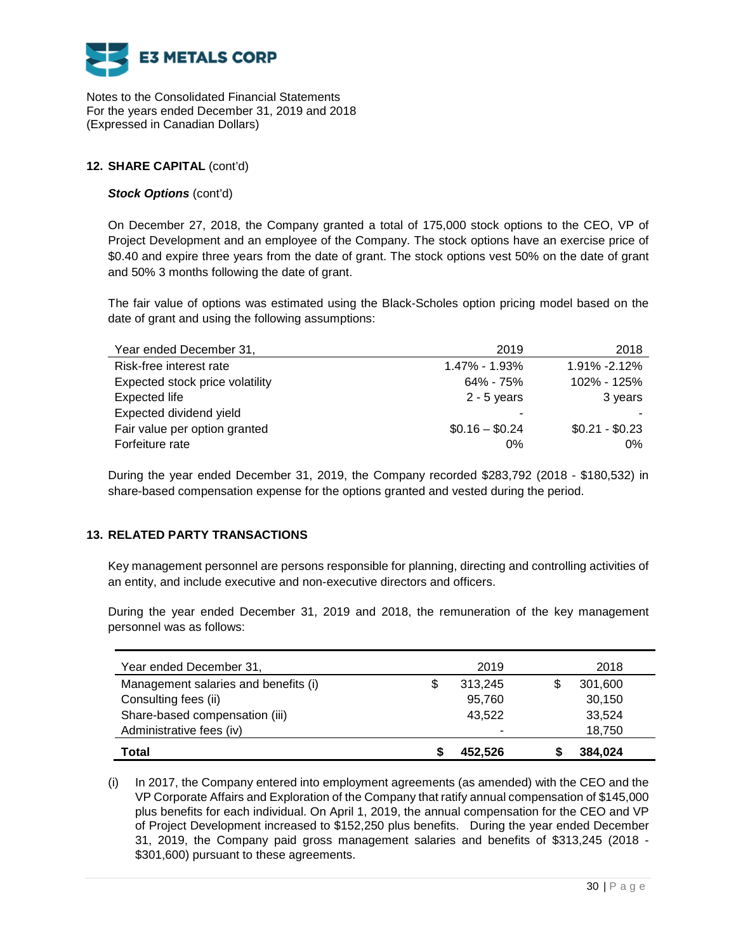

## **12. SHARE CAPITAL** (cont'd)

## *Stock Options (cont'd)*

On December 27, 2018, the Company granted a total of 175,000 stock options to the CEO, VP of Project Development and an employee of the Company. The stock options have an exercise price of \$0.40 and expire three years from the date of grant. The stock options vest 50% on the date of grant and 50% 3 months following the date of grant.

The fair value of options was estimated using the Black-Scholes option pricing model based on the date of grant and using the following assumptions:

| Year ended December 31,         | 2019            | 2018            |
|---------------------------------|-----------------|-----------------|
| Risk-free interest rate         | 1.47% - 1.93%   | 1.91% - 2.12%   |
| Expected stock price volatility | 64% - 75%       | 102% - 125%     |
| Expected life                   | $2 - 5$ years   | 3 years         |
| Expected dividend yield         |                 |                 |
| Fair value per option granted   | $$0.16 - $0.24$ | $$0.21 - $0.23$ |
| Forfeiture rate                 | $0\%$           | $0\%$           |

During the year ended December 31, 2019, the Company recorded \$283,792 (2018 - \$180,532) in share-based compensation expense for the options granted and vested during the period.

## **13. RELATED PARTY TRANSACTIONS**

Key management personnel are persons responsible for planning, directing and controlling activities of an entity, and include executive and non-executive directors and officers.

During the year ended December 31, 2019 and 2018, the remuneration of the key management personnel was as follows:

| Year ended December 31,              | 2019          | 2018    |
|--------------------------------------|---------------|---------|
| Management salaries and benefits (i) | \$<br>313,245 | 301,600 |
| Consulting fees (ii)                 | 95,760        | 30,150  |
| Share-based compensation (iii)       | 43.522        | 33,524  |
| Administrative fees (iv)             | ٠             | 18,750  |
| Total                                | 452.526       | 384.024 |

(i) In 2017, the Company entered into employment agreements (as amended) with the CEO and the VP Corporate Affairs and Exploration of the Company that ratify annual compensation of \$145,000 plus benefits for each individual. On April 1, 2019, the annual compensation for the CEO and VP of Project Development increased to \$152,250 plus benefits. During the year ended December 31, 2019, the Company paid gross management salaries and benefits of \$313,245 (2018 - \$301,600) pursuant to these agreements.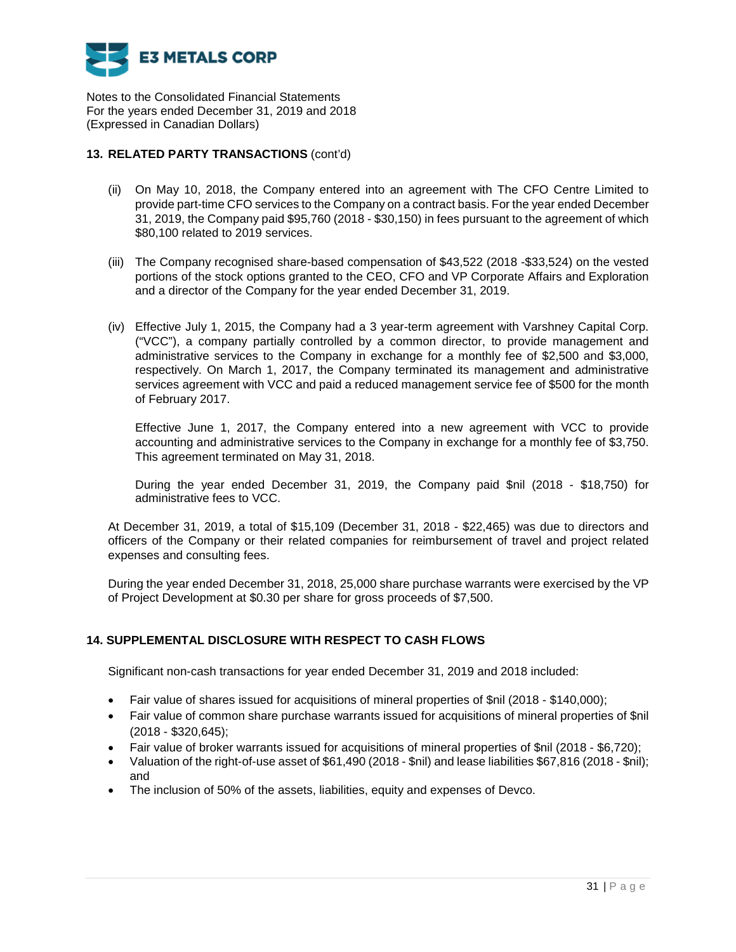

## **13. RELATED PARTY TRANSACTIONS** (cont'd)

- (ii) On May 10, 2018, the Company entered into an agreement with The CFO Centre Limited to provide part-time CFO services to the Company on a contract basis. For the year ended December 31, 2019, the Company paid \$95,760 (2018 - \$30,150) in fees pursuant to the agreement of which \$80,100 related to 2019 services.
- (iii) The Company recognised share-based compensation of \$43,522 (2018 -\$33,524) on the vested portions of the stock options granted to the CEO, CFO and VP Corporate Affairs and Exploration and a director of the Company for the year ended December 31, 2019.
- (iv) Effective July 1, 2015, the Company had a 3 year-term agreement with Varshney Capital Corp. ("VCC"), a company partially controlled by a common director, to provide management and administrative services to the Company in exchange for a monthly fee of \$2,500 and \$3,000, respectively. On March 1, 2017, the Company terminated its management and administrative services agreement with VCC and paid a reduced management service fee of \$500 for the month of February 2017.

Effective June 1, 2017, the Company entered into a new agreement with VCC to provide accounting and administrative services to the Company in exchange for a monthly fee of \$3,750. This agreement terminated on May 31, 2018.

During the year ended December 31, 2019, the Company paid \$nil (2018 - \$18,750) for administrative fees to VCC.

At December 31, 2019, a total of \$15,109 (December 31, 2018 - \$22,465) was due to directors and officers of the Company or their related companies for reimbursement of travel and project related expenses and consulting fees.

During the year ended December 31, 2018, 25,000 share purchase warrants were exercised by the VP of Project Development at \$0.30 per share for gross proceeds of \$7,500.

## **14. SUPPLEMENTAL DISCLOSURE WITH RESPECT TO CASH FLOWS**

Significant non-cash transactions for year ended December 31, 2019 and 2018 included:

- Fair value of shares issued for acquisitions of mineral properties of \$nil (2018 \$140,000);
- Fair value of common share purchase warrants issued for acquisitions of mineral properties of \$nil (2018 - \$320,645);
- Fair value of broker warrants issued for acquisitions of mineral properties of \$nil (2018 \$6,720);
- Valuation of the right-of-use asset of \$61,490 (2018 \$nil) and lease liabilities \$67,816 (2018 \$nil); and
- The inclusion of 50% of the assets, liabilities, equity and expenses of Devco.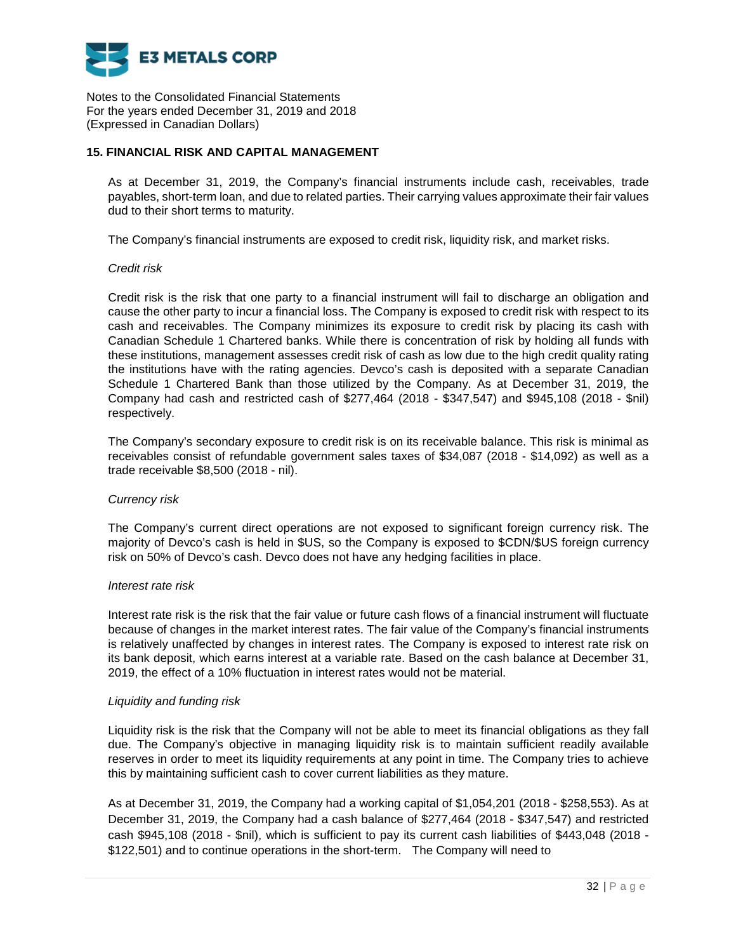

### **15. FINANCIAL RISK AND CAPITAL MANAGEMENT**

As at December 31, 2019, the Company's financial instruments include cash, receivables, trade payables, short-term loan, and due to related parties. Their carrying values approximate their fair values dud to their short terms to maturity.

The Company's financial instruments are exposed to credit risk, liquidity risk, and market risks.

#### *Credit risk*

Credit risk is the risk that one party to a financial instrument will fail to discharge an obligation and cause the other party to incur a financial loss. The Company is exposed to credit risk with respect to its cash and receivables. The Company minimizes its exposure to credit risk by placing its cash with Canadian Schedule 1 Chartered banks. While there is concentration of risk by holding all funds with these institutions, management assesses credit risk of cash as low due to the high credit quality rating the institutions have with the rating agencies. Devco's cash is deposited with a separate Canadian Schedule 1 Chartered Bank than those utilized by the Company. As at December 31, 2019, the Company had cash and restricted cash of \$277,464 (2018 - \$347,547) and \$945,108 (2018 - \$nil) respectively.

The Company's secondary exposure to credit risk is on its receivable balance. This risk is minimal as receivables consist of refundable government sales taxes of \$34,087 (2018 - \$14,092) as well as a trade receivable \$8,500 (2018 - nil).

### *Currency risk*

The Company's current direct operations are not exposed to significant foreign currency risk. The majority of Devco's cash is held in \$US, so the Company is exposed to \$CDN/\$US foreign currency risk on 50% of Devco's cash. Devco does not have any hedging facilities in place.

#### *Interest rate risk*

Interest rate risk is the risk that the fair value or future cash flows of a financial instrument will fluctuate because of changes in the market interest rates. The fair value of the Company's financial instruments is relatively unaffected by changes in interest rates. The Company is exposed to interest rate risk on its bank deposit, which earns interest at a variable rate. Based on the cash balance at December 31, 2019, the effect of a 10% fluctuation in interest rates would not be material.

#### *Liquidity and funding risk*

Liquidity risk is the risk that the Company will not be able to meet its financial obligations as they fall due. The Company's objective in managing liquidity risk is to maintain sufficient readily available reserves in order to meet its liquidity requirements at any point in time. The Company tries to achieve this by maintaining sufficient cash to cover current liabilities as they mature.

As at December 31, 2019, the Company had a working capital of \$1,054,201 (2018 - \$258,553). As at December 31, 2019, the Company had a cash balance of \$277,464 (2018 - \$347,547) and restricted cash \$945,108 (2018 - \$nil), which is sufficient to pay its current cash liabilities of \$443,048 (2018 - \$122,501) and to continue operations in the short-term. The Company will need to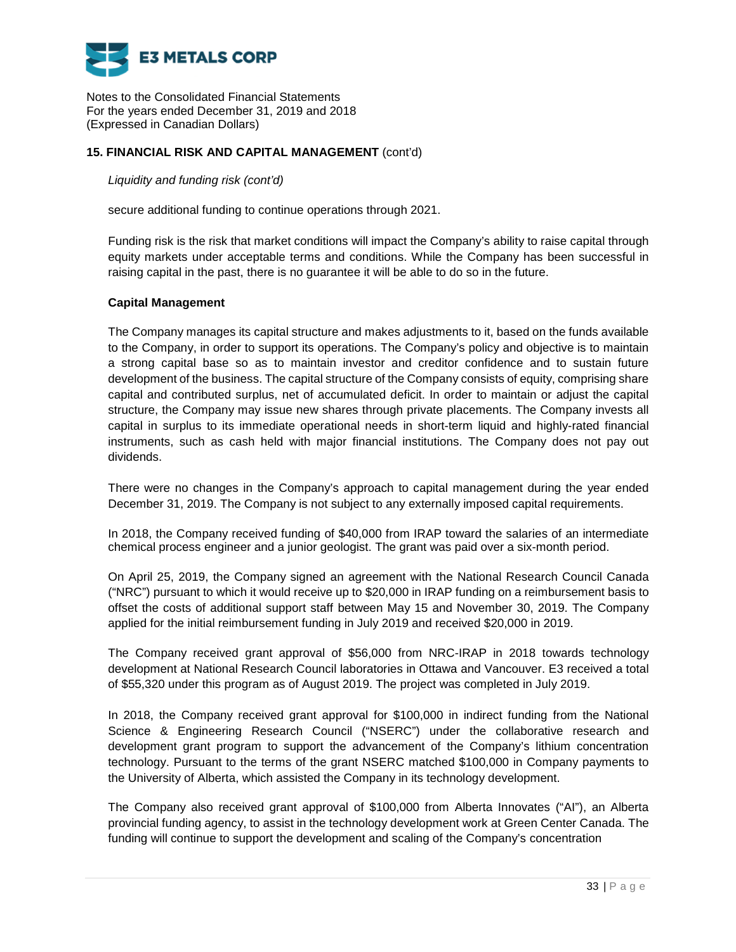

## **15. FINANCIAL RISK AND CAPITAL MANAGEMENT** (cont'd)

*Liquidity and funding risk (cont'd)* 

secure additional funding to continue operations through 2021.

Funding risk is the risk that market conditions will impact the Company's ability to raise capital through equity markets under acceptable terms and conditions. While the Company has been successful in raising capital in the past, there is no guarantee it will be able to do so in the future.

### **Capital Management**

The Company manages its capital structure and makes adjustments to it, based on the funds available to the Company, in order to support its operations. The Company's policy and objective is to maintain a strong capital base so as to maintain investor and creditor confidence and to sustain future development of the business. The capital structure of the Company consists of equity, comprising share capital and contributed surplus, net of accumulated deficit. In order to maintain or adjust the capital structure, the Company may issue new shares through private placements. The Company invests all capital in surplus to its immediate operational needs in short-term liquid and highly-rated financial instruments, such as cash held with major financial institutions. The Company does not pay out dividends.

There were no changes in the Company's approach to capital management during the year ended December 31, 2019. The Company is not subject to any externally imposed capital requirements.

In 2018, the Company received funding of \$40,000 from IRAP toward the salaries of an intermediate chemical process engineer and a junior geologist. The grant was paid over a six-month period.

On April 25, 2019, the Company signed an agreement with the National Research Council Canada ("NRC") pursuant to which it would receive up to \$20,000 in IRAP funding on a reimbursement basis to offset the costs of additional support staff between May 15 and November 30, 2019. The Company applied for the initial reimbursement funding in July 2019 and received \$20,000 in 2019.

The Company received grant approval of \$56,000 from NRC-IRAP in 2018 towards technology development at National Research Council laboratories in Ottawa and Vancouver. E3 received a total of \$55,320 under this program as of August 2019. The project was completed in July 2019.

In 2018, the Company received grant approval for \$100,000 in indirect funding from the National Science & Engineering Research Council ("NSERC") under the collaborative research and development grant program to support the advancement of the Company's lithium concentration technology. Pursuant to the terms of the grant NSERC matched \$100,000 in Company payments to the University of Alberta, which assisted the Company in its technology development.

The Company also received grant approval of \$100,000 from Alberta Innovates ("AI"), an Alberta provincial funding agency, to assist in the technology development work at Green Center Canada. The funding will continue to support the development and scaling of the Company's concentration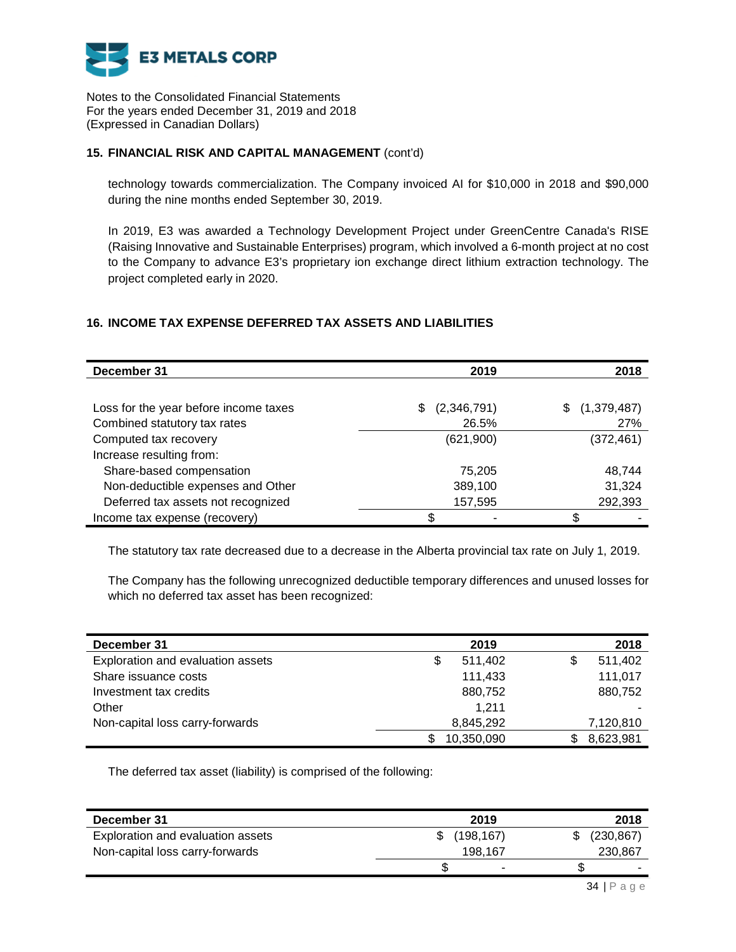

## **15. FINANCIAL RISK AND CAPITAL MANAGEMENT** (cont'd)

technology towards commercialization. The Company invoiced AI for \$10,000 in 2018 and \$90,000 during the nine months ended September 30, 2019.

In 2019, E3 was awarded a Technology Development Project under GreenCentre Canada's RISE (Raising Innovative and Sustainable Enterprises) program, which involved a 6-month project at no cost to the Company to advance E3's proprietary ion exchange direct lithium extraction technology. The project completed early in 2020.

## **16. INCOME TAX EXPENSE DEFERRED TAX ASSETS AND LIABILITIES**

| December 31                           | 2019              | 2018              |
|---------------------------------------|-------------------|-------------------|
|                                       |                   |                   |
| Loss for the year before income taxes | (2,346,791)<br>\$ | (1,379,487)<br>S. |
| Combined statutory tax rates          | 26.5%             | 27%               |
| Computed tax recovery                 | (621,900)         | (372, 461)        |
| Increase resulting from:              |                   |                   |
| Share-based compensation              | 75,205            | 48,744            |
| Non-deductible expenses and Other     | 389,100           | 31,324            |
| Deferred tax assets not recognized    | 157,595           | 292,393           |
| Income tax expense (recovery)         |                   |                   |

The statutory tax rate decreased due to a decrease in the Alberta provincial tax rate on July 1, 2019.

The Company has the following unrecognized deductible temporary differences and unused losses for which no deferred tax asset has been recognized:

| December 31                       | 2019          |           | 2018      |
|-----------------------------------|---------------|-----------|-----------|
| Exploration and evaluation assets | 511,402<br>\$ |           | 511,402   |
| Share issuance costs              | 111,433       |           | 111,017   |
| Investment tax credits            | 880,752       |           | 880,752   |
| Other                             | 1.211         |           |           |
| Non-capital loss carry-forwards   | 8,845,292     |           | 7,120,810 |
|                                   | 10,350,090    | 8,623,981 |           |

The deferred tax asset (liability) is comprised of the following:

| December 31                       | 2019                     | 2018       |  |
|-----------------------------------|--------------------------|------------|--|
| Exploration and evaluation assets | (198.167)                | (230, 867) |  |
| Non-capital loss carry-forwards   | 198.167                  | 230,867    |  |
|                                   | $\overline{\phantom{a}}$ |            |  |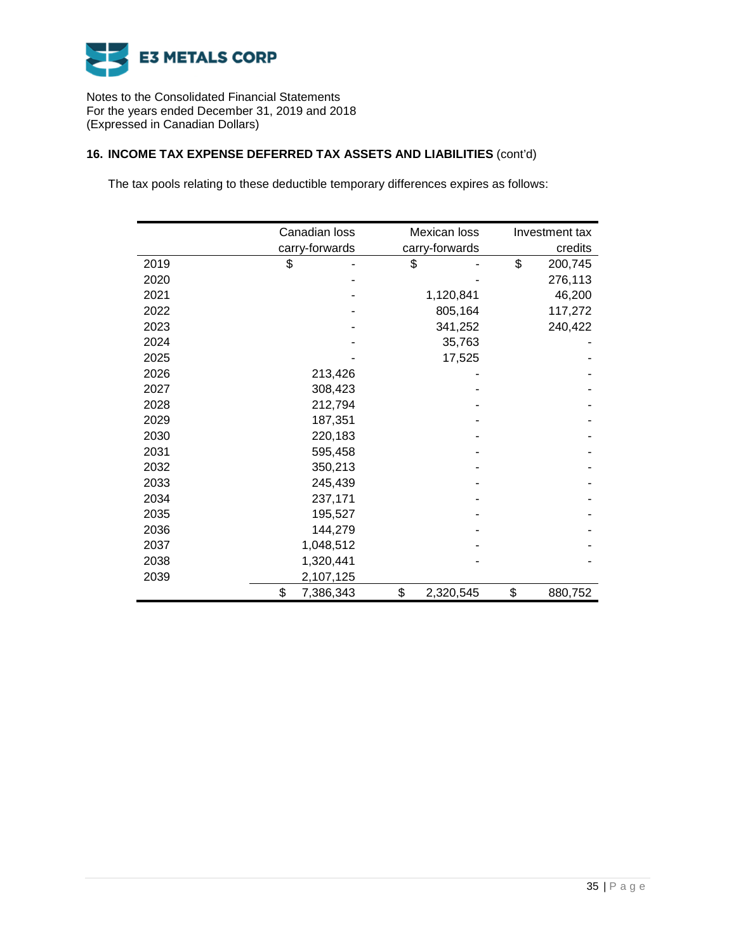

# **16. INCOME TAX EXPENSE DEFERRED TAX ASSETS AND LIABILITIES** (cont'd)

The tax pools relating to these deductible temporary differences expires as follows:

|      | Canadian loss |                | Mexican loss    | Investment tax |
|------|---------------|----------------|-----------------|----------------|
|      |               | carry-forwards | carry-forwards  | credits        |
| 2019 | \$            |                | \$              | \$<br>200,745  |
| 2020 |               |                |                 | 276,113        |
| 2021 |               |                | 1,120,841       | 46,200         |
| 2022 |               |                | 805,164         | 117,272        |
| 2023 |               |                | 341,252         | 240,422        |
| 2024 |               |                | 35,763          |                |
| 2025 |               |                | 17,525          |                |
| 2026 |               | 213,426        |                 |                |
| 2027 |               | 308,423        |                 |                |
| 2028 |               | 212,794        |                 |                |
| 2029 |               | 187,351        |                 |                |
| 2030 |               | 220,183        |                 |                |
| 2031 |               | 595,458        |                 |                |
| 2032 |               | 350,213        |                 |                |
| 2033 |               | 245,439        |                 |                |
| 2034 |               | 237,171        |                 |                |
| 2035 |               | 195,527        |                 |                |
| 2036 |               | 144,279        |                 |                |
| 2037 |               | 1,048,512      |                 |                |
| 2038 |               | 1,320,441      |                 |                |
| 2039 |               | 2,107,125      |                 |                |
|      | \$            | 7,386,343      | \$<br>2,320,545 | \$<br>880,752  |